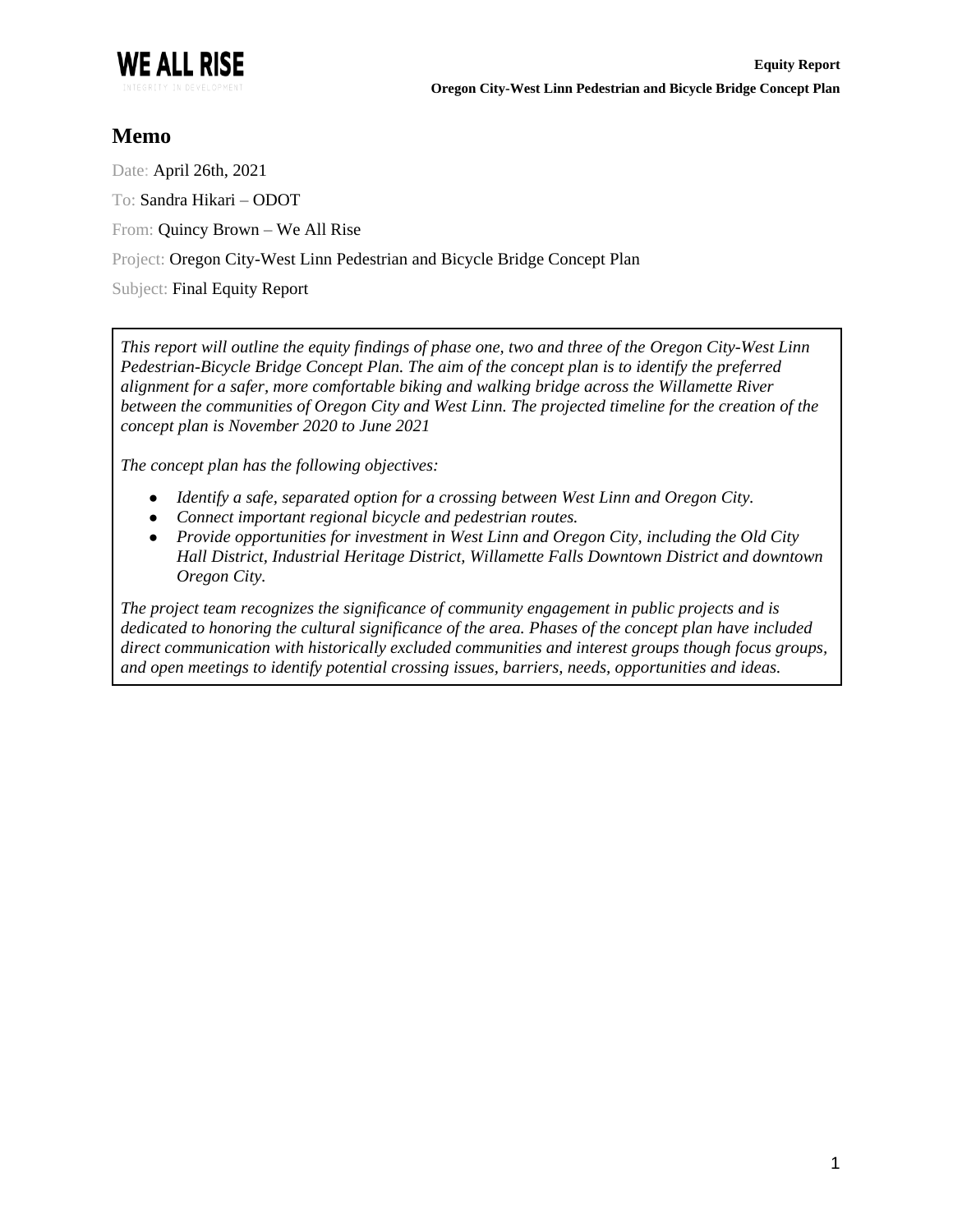

# **Memo**

Date: April 26th, 2021 To: Sandra Hikari – ODOT From: Quincy Brown – We All Rise Project: Oregon City-West Linn Pedestrian and Bicycle Bridge Concept Plan Subject: Final Equity Report

*This report will outline the equity findings of phase one, two and three of the Oregon City-West Linn Pedestrian-Bicycle Bridge Concept Plan. The aim of the concept plan is to identify the preferred alignment for a safer, more comfortable biking and walking bridge across the Willamette River between the communities of Oregon City and West Linn. The projected timeline for the creation of the concept plan is November 2020 to June 2021*

*The concept plan has the following objectives:*

- *Identify a safe, separated option for a crossing between West Linn and Oregon City.*
- Connect important regional bicycle and pedestrian routes.
- *Provide opportunities for investment in West Linn and Oregon City, including the Old City Hall District, Industrial Heritage District, Willamette Falls Downtown District and downtown Oregon City.*

*The project team recognizes the significance of community engagement in public projects and is dedicated to honoring the cultural significance of the area. Phases of the concept plan have included direct communication with historically excluded communities and interest groups though focus groups, and open meetings to identify potential crossing issues, barriers, needs, opportunities and ideas.*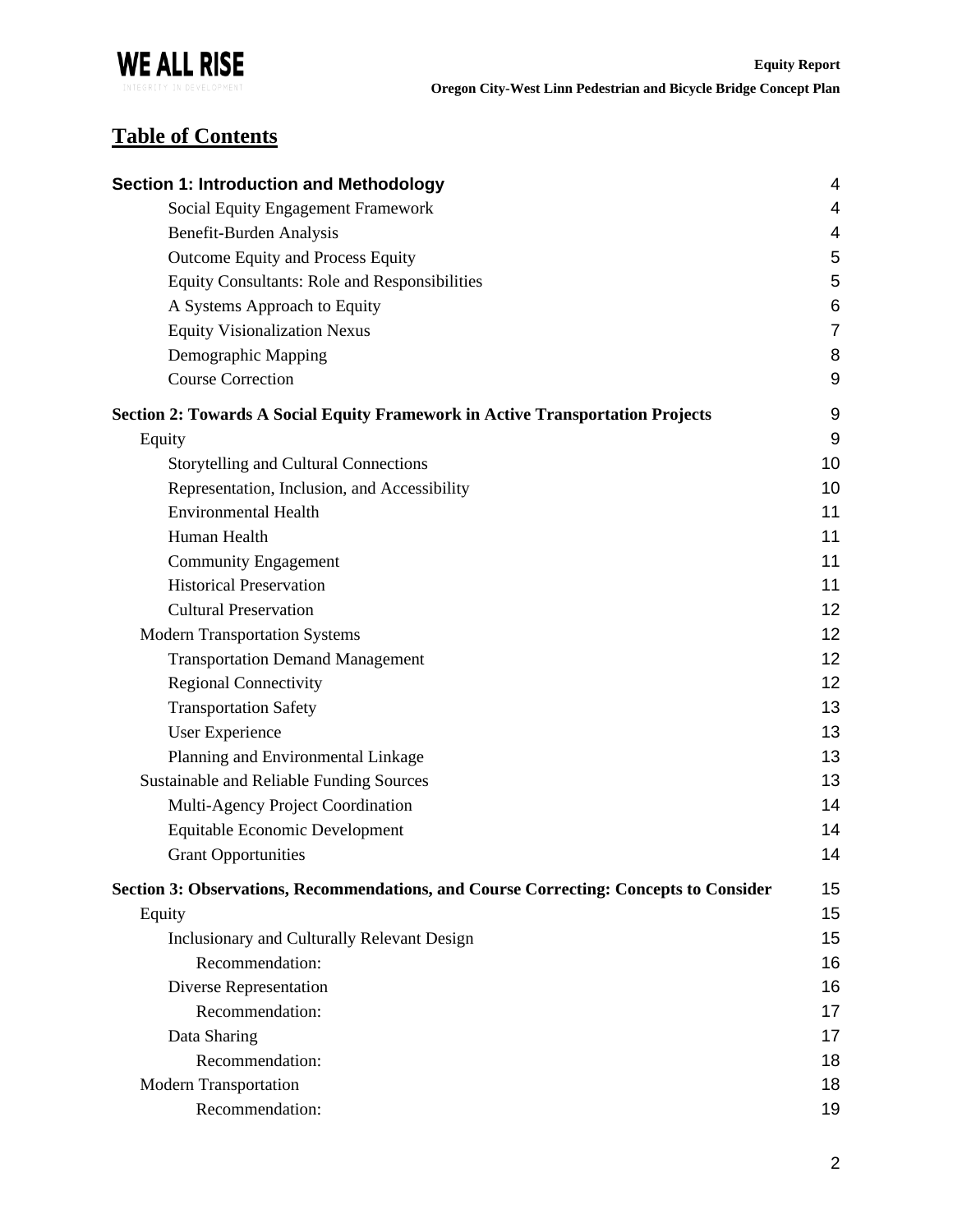

# **Table of Contents**

| <b>Section 1: Introduction and Methodology</b>                                                                                                            | 4                        |                     |
|-----------------------------------------------------------------------------------------------------------------------------------------------------------|--------------------------|---------------------|
| Social Equity Engagement Framework                                                                                                                        | 4                        |                     |
| Benefit-Burden Analysis                                                                                                                                   | 4                        |                     |
| Outcome Equity and Process Equity<br>Equity Consultants: Role and Responsibilities<br>A Systems Approach to Equity<br><b>Equity Visionalization Nexus</b> | 5<br>5<br>6              |                     |
|                                                                                                                                                           |                          | 7                   |
|                                                                                                                                                           |                          | Demographic Mapping |
|                                                                                                                                                           | <b>Course Correction</b> | 9                   |
| <b>Section 2: Towards A Social Equity Framework in Active Transportation Projects</b>                                                                     | 9                        |                     |
| Equity                                                                                                                                                    | 9                        |                     |
| Storytelling and Cultural Connections                                                                                                                     | 10                       |                     |
| Representation, Inclusion, and Accessibility                                                                                                              | 10                       |                     |
| <b>Environmental Health</b>                                                                                                                               | 11                       |                     |
| Human Health                                                                                                                                              | 11                       |                     |
| <b>Community Engagement</b>                                                                                                                               | 11                       |                     |
| <b>Historical Preservation</b>                                                                                                                            | 11                       |                     |
| <b>Cultural Preservation</b>                                                                                                                              | 12                       |                     |
| <b>Modern Transportation Systems</b>                                                                                                                      | 12                       |                     |
| <b>Transportation Demand Management</b>                                                                                                                   | 12                       |                     |
| <b>Regional Connectivity</b>                                                                                                                              | 12                       |                     |
| <b>Transportation Safety</b>                                                                                                                              | 13                       |                     |
| User Experience                                                                                                                                           | 13                       |                     |
| Planning and Environmental Linkage                                                                                                                        | 13                       |                     |
| Sustainable and Reliable Funding Sources                                                                                                                  | 13                       |                     |
| Multi-Agency Project Coordination                                                                                                                         | 14                       |                     |
| Equitable Economic Development                                                                                                                            | 14                       |                     |
| <b>Grant Opportunities</b>                                                                                                                                | 14                       |                     |
| Section 3: Observations, Recommendations, and Course Correcting: Concepts to Consider                                                                     | 15                       |                     |
| Equity                                                                                                                                                    | 15                       |                     |
| Inclusionary and Culturally Relevant Design                                                                                                               | 15                       |                     |
| Recommendation:                                                                                                                                           | 16                       |                     |
| Diverse Representation                                                                                                                                    | 16                       |                     |
| Recommendation:                                                                                                                                           | 17                       |                     |
| Data Sharing                                                                                                                                              | 17                       |                     |
| Recommendation:                                                                                                                                           | 18                       |                     |
| <b>Modern Transportation</b>                                                                                                                              | 18                       |                     |
| Recommendation:                                                                                                                                           | 19                       |                     |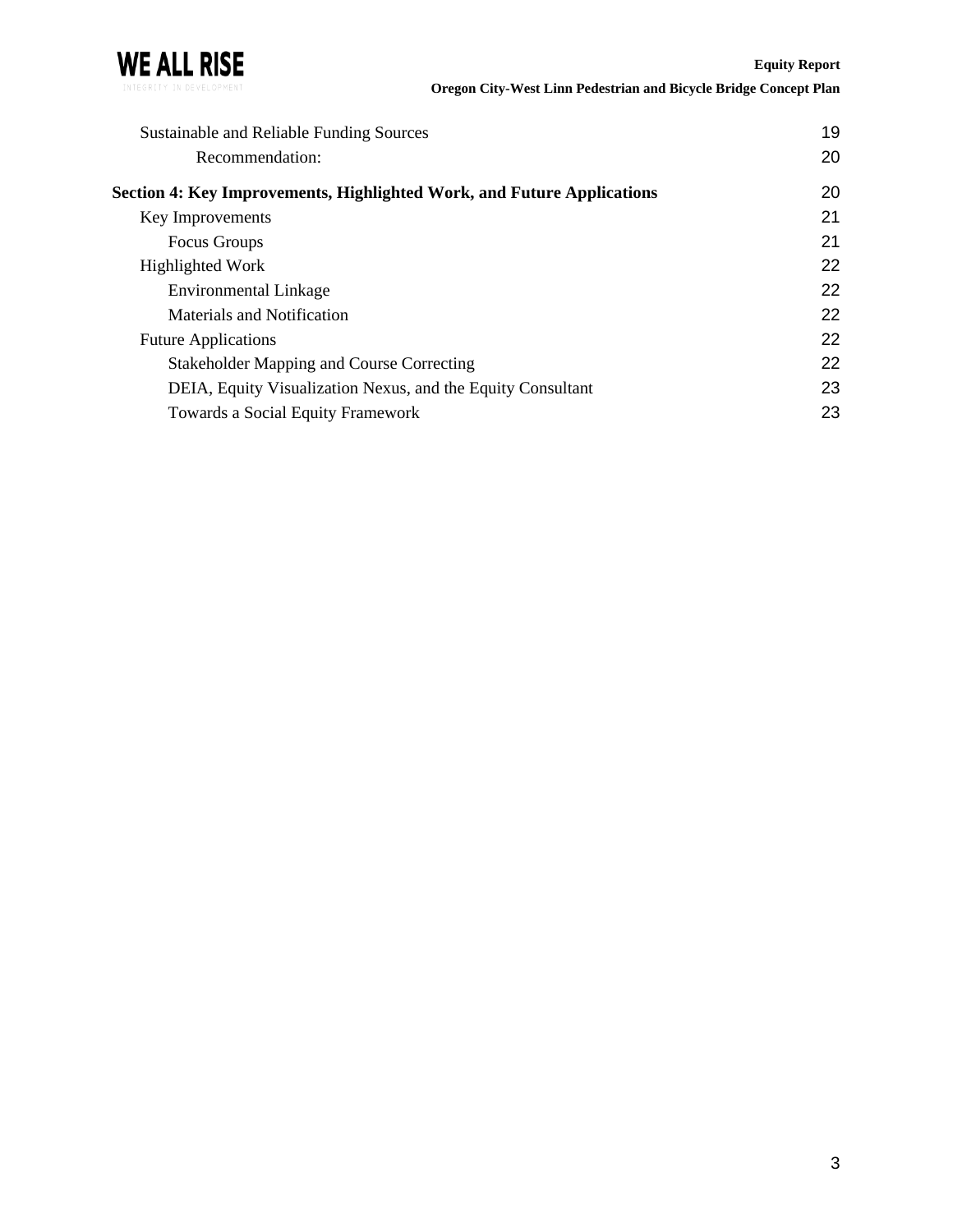

| Sustainable and Reliable Funding Sources                               | 19 |
|------------------------------------------------------------------------|----|
| Recommendation:                                                        | 20 |
| Section 4: Key Improvements, Highlighted Work, and Future Applications | 20 |
| Key Improvements                                                       | 21 |
| Focus Groups                                                           | 21 |
| Highlighted Work                                                       | 22 |
| Environmental Linkage                                                  | 22 |
| Materials and Notification                                             | 22 |
| <b>Future Applications</b>                                             | 22 |
| <b>Stakeholder Mapping and Course Correcting</b>                       | 22 |
| DEIA, Equity Visualization Nexus, and the Equity Consultant            | 23 |
| <b>Towards a Social Equity Framework</b>                               | 23 |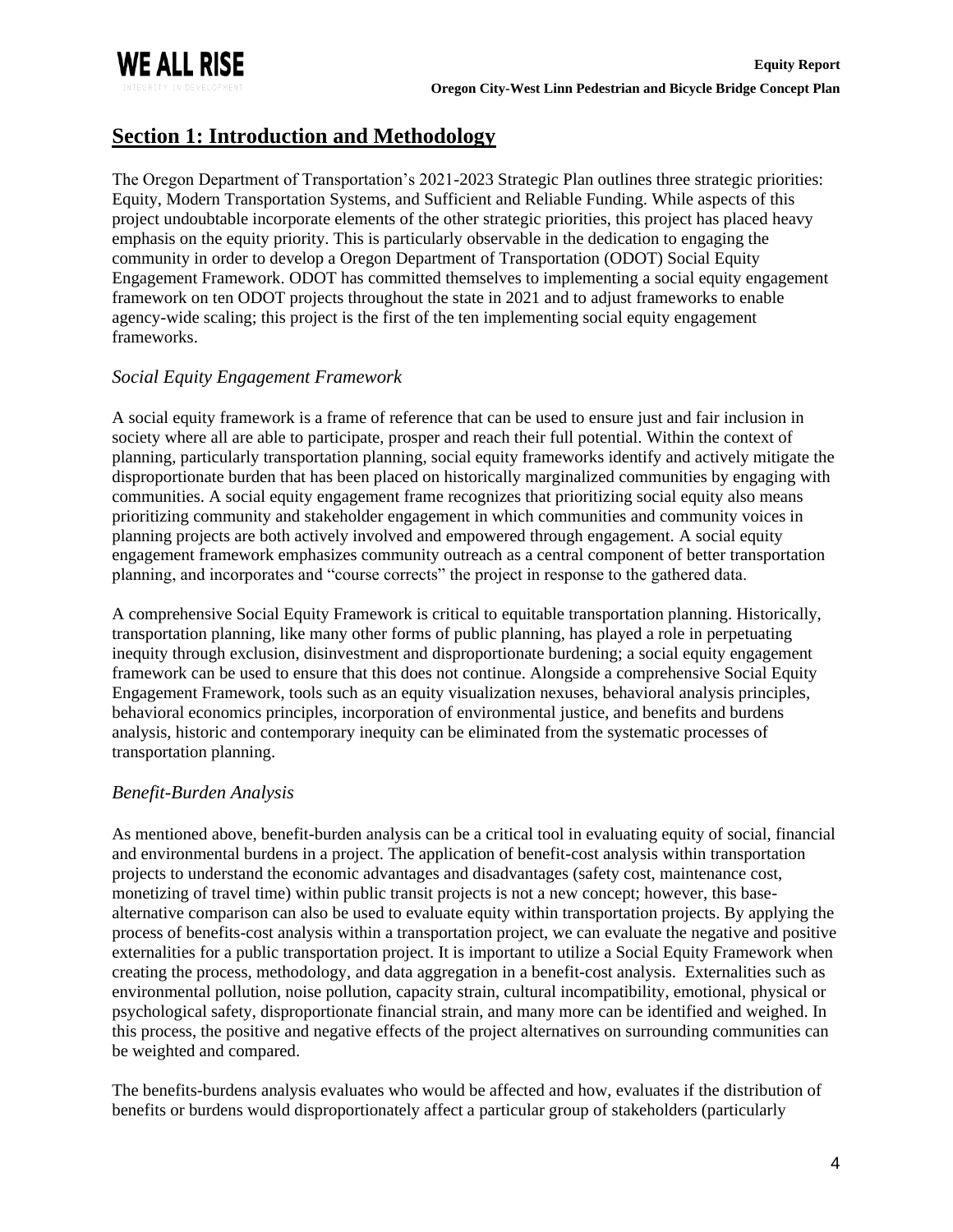

# <span id="page-3-0"></span>**Section 1: Introduction and Methodology**

The Oregon Department of Transportation's 2021-2023 Strategic Plan outlines three strategic priorities: Equity, Modern Transportation Systems, and Sufficient and Reliable Funding. While aspects of this project undoubtable incorporate elements of the other strategic priorities, this project has placed heavy emphasis on the equity priority. This is particularly observable in the dedication to engaging the community in order to develop a Oregon Department of Transportation (ODOT) Social Equity Engagement Framework. ODOT has committed themselves to implementing a social equity engagement framework on ten ODOT projects throughout the state in 2021 and to adjust frameworks to enable agency-wide scaling; this project is the first of the ten implementing social equity engagement frameworks.

## <span id="page-3-1"></span>*Social Equity Engagement Framework*

A social equity framework is a frame of reference that can be used to ensure just and fair inclusion in society where all are able to participate, prosper and reach their full potential. Within the context of planning, particularly transportation planning, social equity frameworks identify and actively mitigate the disproportionate burden that has been placed on historically marginalized communities by engaging with communities. A social equity engagement frame recognizes that prioritizing social equity also means prioritizing community and stakeholder engagement in which communities and community voices in planning projects are both actively involved and empowered through engagement. A social equity engagement framework emphasizes community outreach as a central component of better transportation planning, and incorporates and "course corrects" the project in response to the gathered data.

A comprehensive Social Equity Framework is critical to equitable transportation planning. Historically, transportation planning, like many other forms of public planning, has played a role in perpetuating inequity through exclusion, disinvestment and disproportionate burdening; a social equity engagement framework can be used to ensure that this does not continue. Alongside a comprehensive Social Equity Engagement Framework, tools such as an equity visualization nexuses, behavioral analysis principles, behavioral economics principles, incorporation of environmental justice, and benefits and burdens analysis, historic and contemporary inequity can be eliminated from the systematic processes of transportation planning.

#### <span id="page-3-2"></span>*Benefit-Burden Analysis*

As mentioned above, benefit-burden analysis can be a critical tool in evaluating equity of social, financial and environmental burdens in a project. The application of benefit-cost analysis within transportation projects to understand the economic advantages and disadvantages (safety cost, maintenance cost, monetizing of travel time) within public transit projects is not a new concept; however, this basealternative comparison can also be used to evaluate equity within transportation projects. By applying the process of benefits-cost analysis within a transportation project, we can evaluate the negative and positive externalities for a public transportation project. It is important to utilize a Social Equity Framework when creating the process, methodology, and data aggregation in a benefit-cost analysis. Externalities such as environmental pollution, noise pollution, capacity strain, cultural incompatibility, emotional, physical or psychological safety, disproportionate financial strain, and many more can be identified and weighed. In this process, the positive and negative effects of the project alternatives on surrounding communities can be weighted and compared.

The benefits-burdens analysis evaluates who would be affected and how, evaluates if the distribution of benefits or burdens would disproportionately affect a particular group of stakeholders (particularly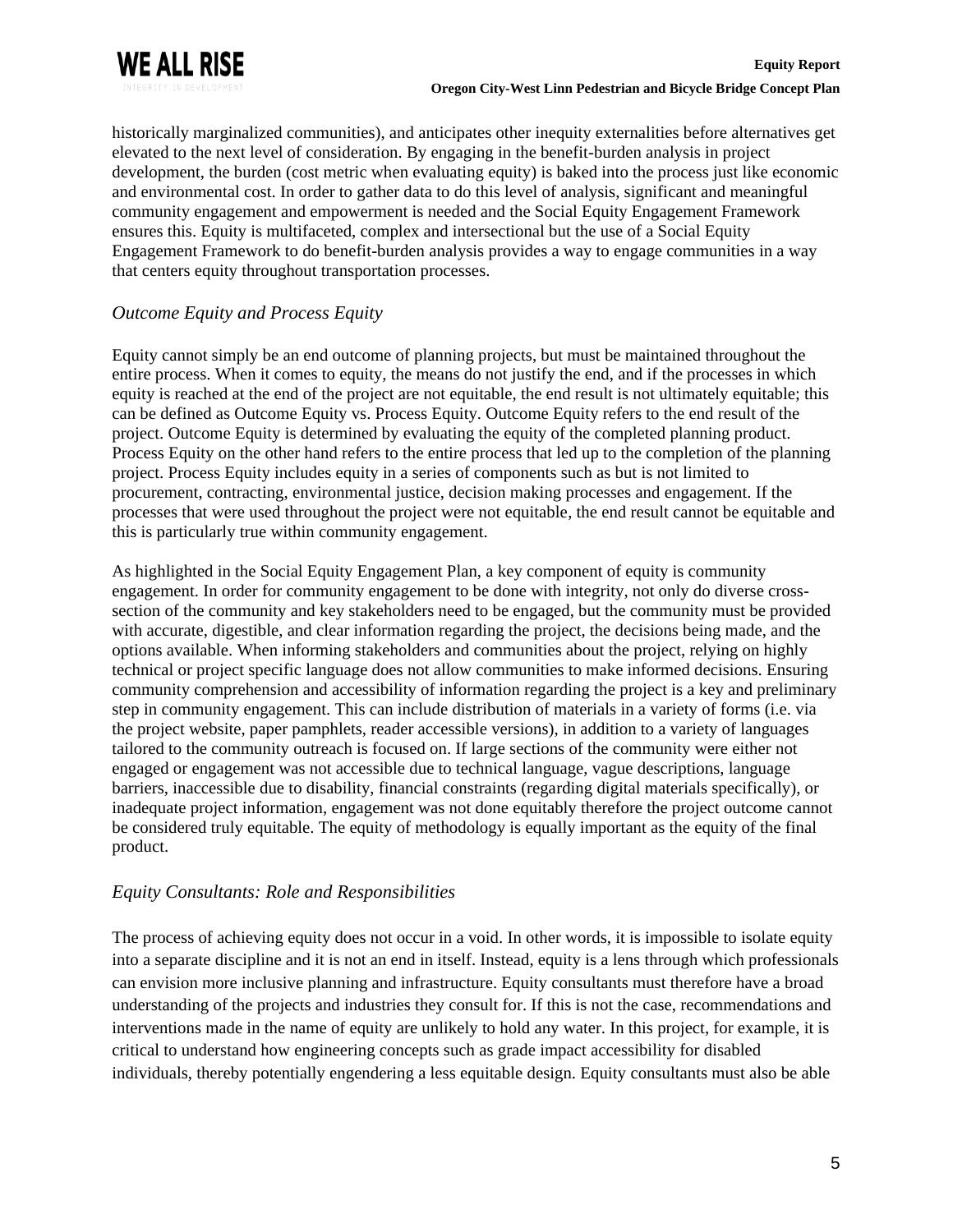

historically marginalized communities), and anticipates other inequity externalities before alternatives get elevated to the next level of consideration. By engaging in the benefit-burden analysis in project development, the burden (cost metric when evaluating equity) is baked into the process just like economic and environmental cost. In order to gather data to do this level of analysis, significant and meaningful community engagement and empowerment is needed and the Social Equity Engagement Framework ensures this. Equity is multifaceted, complex and intersectional but the use of a Social Equity Engagement Framework to do benefit-burden analysis provides a way to engage communities in a way that centers equity throughout transportation processes.

## <span id="page-4-0"></span>*Outcome Equity and Process Equity*

Equity cannot simply be an end outcome of planning projects, but must be maintained throughout the entire process. When it comes to equity, the means do not justify the end, and if the processes in which equity is reached at the end of the project are not equitable, the end result is not ultimately equitable; this can be defined as Outcome Equity vs. Process Equity. Outcome Equity refers to the end result of the project. Outcome Equity is determined by evaluating the equity of the completed planning product. Process Equity on the other hand refers to the entire process that led up to the completion of the planning project. Process Equity includes equity in a series of components such as but is not limited to procurement, contracting, environmental justice, decision making processes and engagement. If the processes that were used throughout the project were not equitable, the end result cannot be equitable and this is particularly true within community engagement.

As highlighted in the Social Equity Engagement Plan, a key component of equity is community engagement. In order for community engagement to be done with integrity, not only do diverse crosssection of the community and key stakeholders need to be engaged, but the community must be provided with accurate, digestible, and clear information regarding the project, the decisions being made, and the options available. When informing stakeholders and communities about the project, relying on highly technical or project specific language does not allow communities to make informed decisions. Ensuring community comprehension and accessibility of information regarding the project is a key and preliminary step in community engagement. This can include distribution of materials in a variety of forms (i.e. via the project website, paper pamphlets, reader accessible versions), in addition to a variety of languages tailored to the community outreach is focused on. If large sections of the community were either not engaged or engagement was not accessible due to technical language, vague descriptions, language barriers, inaccessible due to disability, financial constraints (regarding digital materials specifically), or inadequate project information, engagement was not done equitably therefore the project outcome cannot be considered truly equitable. The equity of methodology is equally important as the equity of the final product.

#### <span id="page-4-1"></span>*Equity Consultants: Role and Responsibilities*

The process of achieving equity does not occur in a void. In other words, it is impossible to isolate equity into a separate discipline and it is not an end in itself. Instead, equity is a lens through which professionals can envision more inclusive planning and infrastructure. Equity consultants must therefore have a broad understanding of the projects and industries they consult for. If this is not the case, recommendations and interventions made in the name of equity are unlikely to hold any water. In this project, for example, it is critical to understand how engineering concepts such as grade impact accessibility for disabled individuals, thereby potentially engendering a less equitable design. Equity consultants must also be able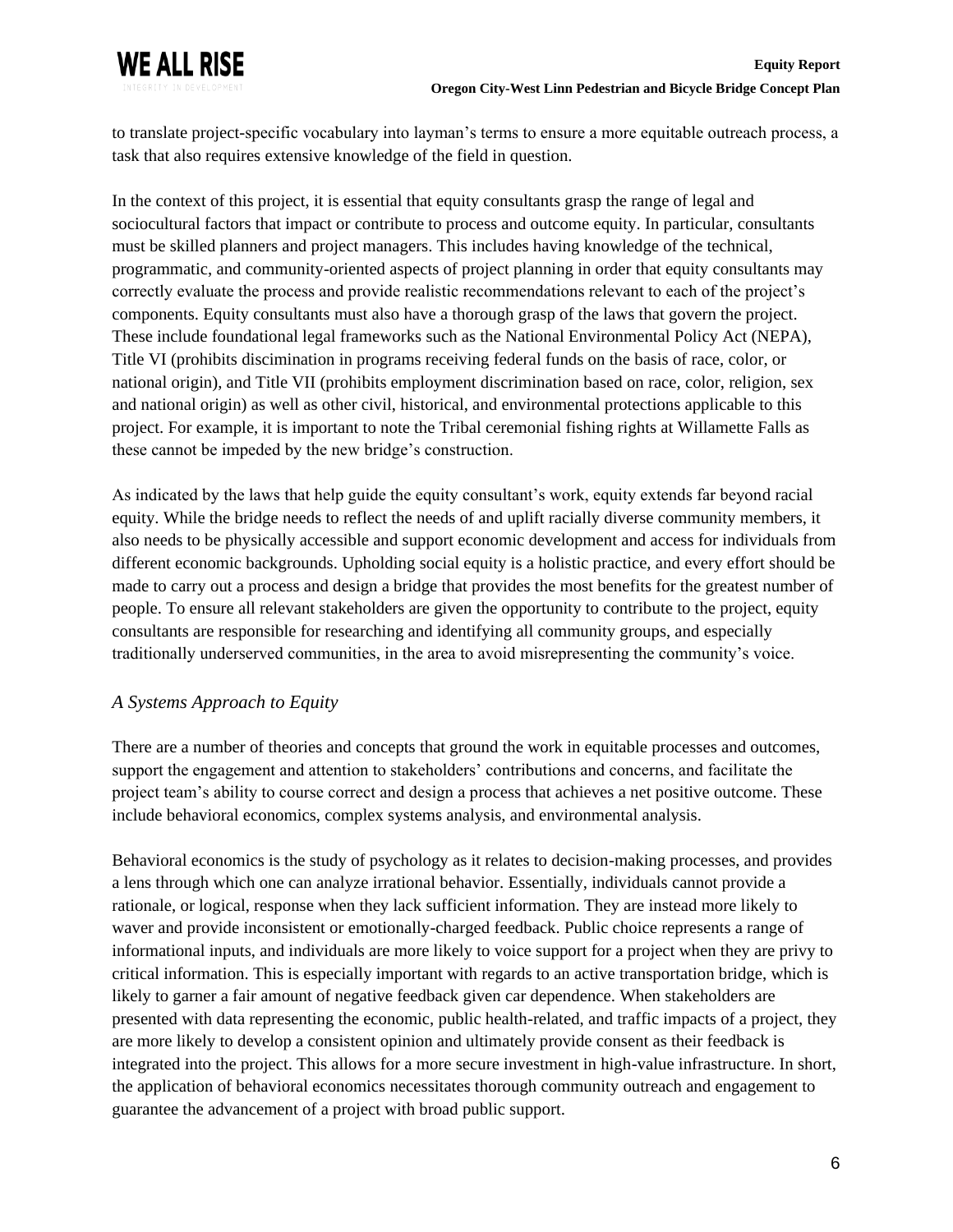

to translate project-specific vocabulary into layman's terms to ensure a more equitable outreach process, a task that also requires extensive knowledge of the field in question.

In the context of this project, it is essential that equity consultants grasp the range of legal and sociocultural factors that impact or contribute to process and outcome equity. In particular, consultants must be skilled planners and project managers. This includes having knowledge of the technical, programmatic, and community-oriented aspects of project planning in order that equity consultants may correctly evaluate the process and provide realistic recommendations relevant to each of the project's components. Equity consultants must also have a thorough grasp of the laws that govern the project. These include foundational legal frameworks such as the National Environmental Policy Act (NEPA), Title VI (prohibits discimination in programs receiving federal funds on the basis of race, color, or national origin), and Title VII (prohibits employment discrimination based on race, color, religion, sex and national origin) as well as other civil, historical, and environmental protections applicable to this project. For example, it is important to note the Tribal ceremonial fishing rights at Willamette Falls as these cannot be impeded by the new bridge's construction.

As indicated by the laws that help guide the equity consultant's work, equity extends far beyond racial equity. While the bridge needs to reflect the needs of and uplift racially diverse community members, it also needs to be physically accessible and support economic development and access for individuals from different economic backgrounds. Upholding social equity is a holistic practice, and every effort should be made to carry out a process and design a bridge that provides the most benefits for the greatest number of people. To ensure all relevant stakeholders are given the opportunity to contribute to the project, equity consultants are responsible for researching and identifying all community groups, and especially traditionally underserved communities, in the area to avoid misrepresenting the community's voice.

## <span id="page-5-0"></span>*A Systems Approach to Equity*

There are a number of theories and concepts that ground the work in equitable processes and outcomes, support the engagement and attention to stakeholders' contributions and concerns, and facilitate the project team's ability to course correct and design a process that achieves a net positive outcome. These include behavioral economics, complex systems analysis, and environmental analysis.

Behavioral economics is the study of psychology as it relates to decision-making processes, and provides a lens through which one can analyze irrational behavior. Essentially, individuals cannot provide a rationale, or logical, response when they lack sufficient information. They are instead more likely to waver and provide inconsistent or emotionally-charged feedback. Public choice represents a range of informational inputs, and individuals are more likely to voice support for a project when they are privy to critical information. This is especially important with regards to an active transportation bridge, which is likely to garner a fair amount of negative feedback given car dependence. When stakeholders are presented with data representing the economic, public health-related, and traffic impacts of a project, they are more likely to develop a consistent opinion and ultimately provide consent as their feedback is integrated into the project. This allows for a more secure investment in high-value infrastructure. In short, the application of behavioral economics necessitates thorough community outreach and engagement to guarantee the advancement of a project with broad public support.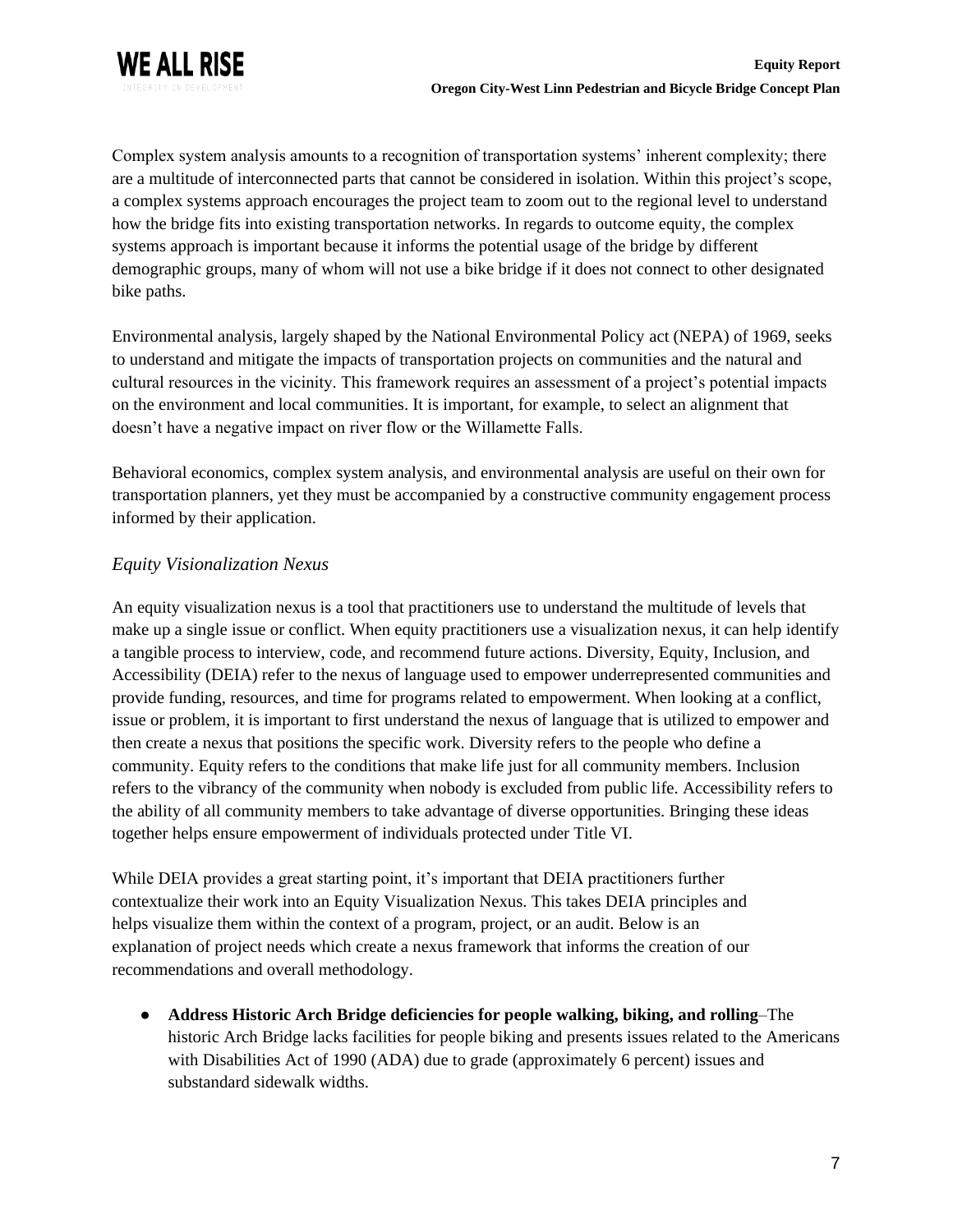

Complex system analysis amounts to a recognition of transportation systems' inherent complexity; there are a multitude of interconnected parts that cannot be considered in isolation. Within this project's scope, a complex systems approach encourages the project team to zoom out to the regional level to understand how the bridge fits into existing transportation networks. In regards to outcome equity, the complex systems approach is important because it informs the potential usage of the bridge by different demographic groups, many of whom will not use a bike bridge if it does not connect to other designated bike paths.

Environmental analysis, largely shaped by the National Environmental Policy act (NEPA) of 1969, seeks to understand and mitigate the impacts of transportation projects on communities and the natural and cultural resources in the vicinity. This framework requires an assessment of a project's potential impacts on the environment and local communities. It is important, for example, to select an alignment that doesn't have a negative impact on river flow or the Willamette Falls.

Behavioral economics, complex system analysis, and environmental analysis are useful on their own for transportation planners, yet they must be accompanied by a constructive community engagement process informed by their application.

### <span id="page-6-0"></span>*Equity Visionalization Nexus*

An equity visualization nexus is a tool that practitioners use to understand the multitude of levels that make up a single issue or conflict. When equity practitioners use a visualization nexus, it can help identify a tangible process to interview, code, and recommend future actions. Diversity, Equity, Inclusion, and Accessibility (DEIA) refer to the nexus of language used to empower underrepresented communities and provide funding, resources, and time for programs related to empowerment. When looking at a conflict, issue or problem, it is important to first understand the nexus of language that is utilized to empower and then create a nexus that positions the specific work. Diversity refers to the people who define a community. Equity refers to the conditions that make life just for all community members. Inclusion refers to the vibrancy of the community when nobody is excluded from public life. Accessibility refers to the ability of all community members to take advantage of diverse opportunities. Bringing these ideas together helps ensure empowerment of individuals protected under Title VI.

While DEIA provides a great starting point, it's important that DEIA practitioners further contextualize their work into an Equity Visualization Nexus. This takes DEIA principles and helps visualize them within the context of a program, project, or an audit. Below is an explanation of project needs which create a nexus framework that informs the creation of our recommendations and overall methodology.

● **Address Historic Arch Bridge deficiencies for people walking, biking, and rolling**–The historic Arch Bridge lacks facilities for people biking and presents issues related to the Americans with Disabilities Act of 1990 (ADA) due to grade (approximately 6 percent) issues and substandard sidewalk widths.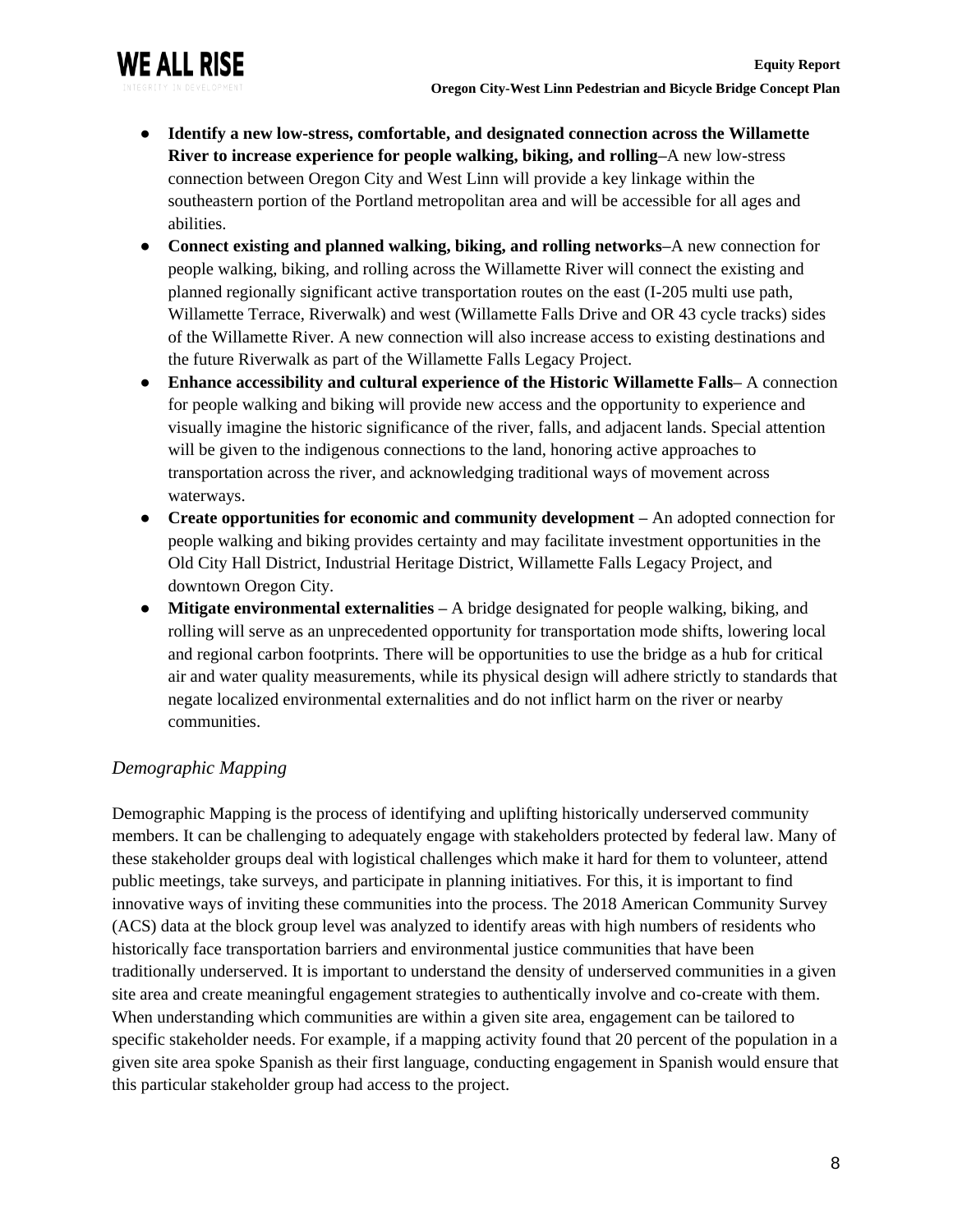

- **Identify a new low-stress, comfortable, and designated connection across the Willamette River to increase experience for people walking, biking, and rolling–**A new low-stress connection between Oregon City and West Linn will provide a key linkage within the southeastern portion of the Portland metropolitan area and will be accessible for all ages and abilities.
- **Connect existing and planned walking, biking, and rolling networks–**A new connection for people walking, biking, and rolling across the Willamette River will connect the existing and planned regionally significant active transportation routes on the east (I-205 multi use path, Willamette Terrace, Riverwalk) and west (Willamette Falls Drive and OR 43 cycle tracks) sides of the Willamette River. A new connection will also increase access to existing destinations and the future Riverwalk as part of the Willamette Falls Legacy Project.
- **Enhance accessibility and cultural experience of the Historic Willamette Falls–** A connection for people walking and biking will provide new access and the opportunity to experience and visually imagine the historic significance of the river, falls, and adjacent lands. Special attention will be given to the indigenous connections to the land, honoring active approaches to transportation across the river, and acknowledging traditional ways of movement across waterways.
- **Create opportunities for economic and community development –** An adopted connection for people walking and biking provides certainty and may facilitate investment opportunities in the Old City Hall District, Industrial Heritage District, Willamette Falls Legacy Project, and downtown Oregon City.
- **Mitigate environmental externalities –** A bridge designated for people walking, biking, and rolling will serve as an unprecedented opportunity for transportation mode shifts, lowering local and regional carbon footprints. There will be opportunities to use the bridge as a hub for critical air and water quality measurements, while its physical design will adhere strictly to standards that negate localized environmental externalities and do not inflict harm on the river or nearby communities.

## <span id="page-7-0"></span>*Demographic Mapping*

Demographic Mapping is the process of identifying and uplifting historically underserved community members. It can be challenging to adequately engage with stakeholders protected by federal law. Many of these stakeholder groups deal with logistical challenges which make it hard for them to volunteer, attend public meetings, take surveys, and participate in planning initiatives. For this, it is important to find innovative ways of inviting these communities into the process. The 2018 American Community Survey (ACS) data at the block group level was analyzed to identify areas with high numbers of residents who historically face transportation barriers and environmental justice communities that have been traditionally underserved. It is important to understand the density of underserved communities in a given site area and create meaningful engagement strategies to authentically involve and co-create with them. When understanding which communities are within a given site area, engagement can be tailored to specific stakeholder needs. For example, if a mapping activity found that 20 percent of the population in a given site area spoke Spanish as their first language, conducting engagement in Spanish would ensure that this particular stakeholder group had access to the project.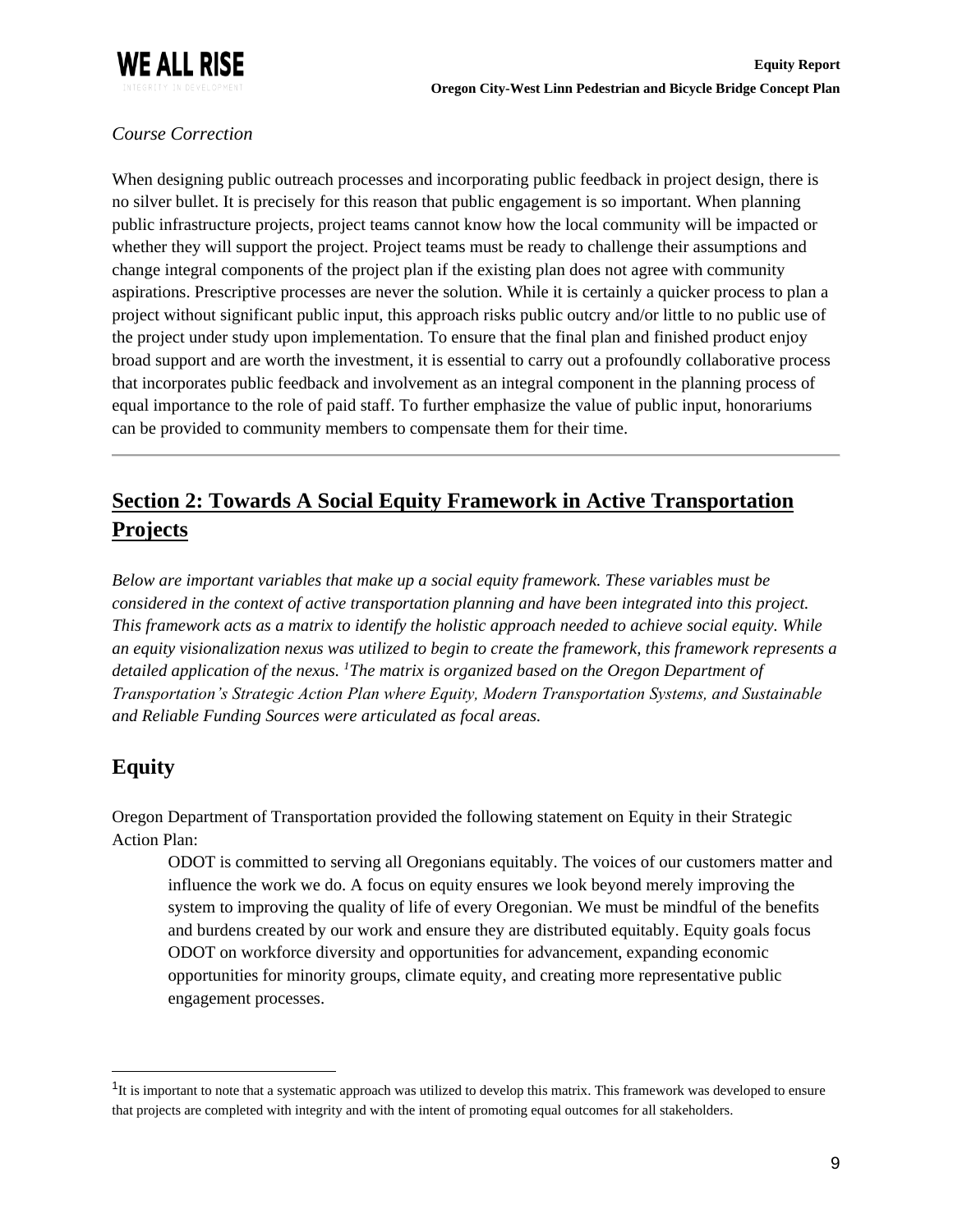

## <span id="page-8-0"></span>*Course Correction*

When designing public outreach processes and incorporating public feedback in project design, there is no silver bullet. It is precisely for this reason that public engagement is so important. When planning public infrastructure projects, project teams cannot know how the local community will be impacted or whether they will support the project. Project teams must be ready to challenge their assumptions and change integral components of the project plan if the existing plan does not agree with community aspirations. Prescriptive processes are never the solution. While it is certainly a quicker process to plan a project without significant public input, this approach risks public outcry and/or little to no public use of the project under study upon implementation. To ensure that the final plan and finished product enjoy broad support and are worth the investment, it is essential to carry out a profoundly collaborative process that incorporates public feedback and involvement as an integral component in the planning process of equal importance to the role of paid staff. To further emphasize the value of public input, honorariums can be provided to community members to compensate them for their time.

# <span id="page-8-1"></span>**Section 2: Towards A Social Equity Framework in Active Transportation Projects**

*Below are important variables that make up a social equity framework. These variables must be considered in the context of active transportation planning and have been integrated into this project. This framework acts as a matrix to identify the holistic approach needed to achieve social equity. While an equity visionalization nexus was utilized to begin to create the framework, this framework represents a detailed application of the nexus. <sup>1</sup>The matrix is organized based on the Oregon Department of Transportation's Strategic Action Plan where Equity, Modern Transportation Systems, and Sustainable and Reliable Funding Sources were articulated as focal areas.*

# <span id="page-8-2"></span>**Equity**

Oregon Department of Transportation provided the following statement on Equity in their Strategic Action Plan:

ODOT is committed to serving all Oregonians equitably. The voices of our customers matter and influence the work we do. A focus on equity ensures we look beyond merely improving the system to improving the quality of life of every Oregonian. We must be mindful of the benefits and burdens created by our work and ensure they are distributed equitably. Equity goals focus ODOT on workforce diversity and opportunities for advancement, expanding economic opportunities for minority groups, climate equity, and creating more representative public engagement processes.

 $1$ It is important to note that a systematic approach was utilized to develop this matrix. This framework was developed to ensure that projects are completed with integrity and with the intent of promoting equal outcomes for all stakeholders.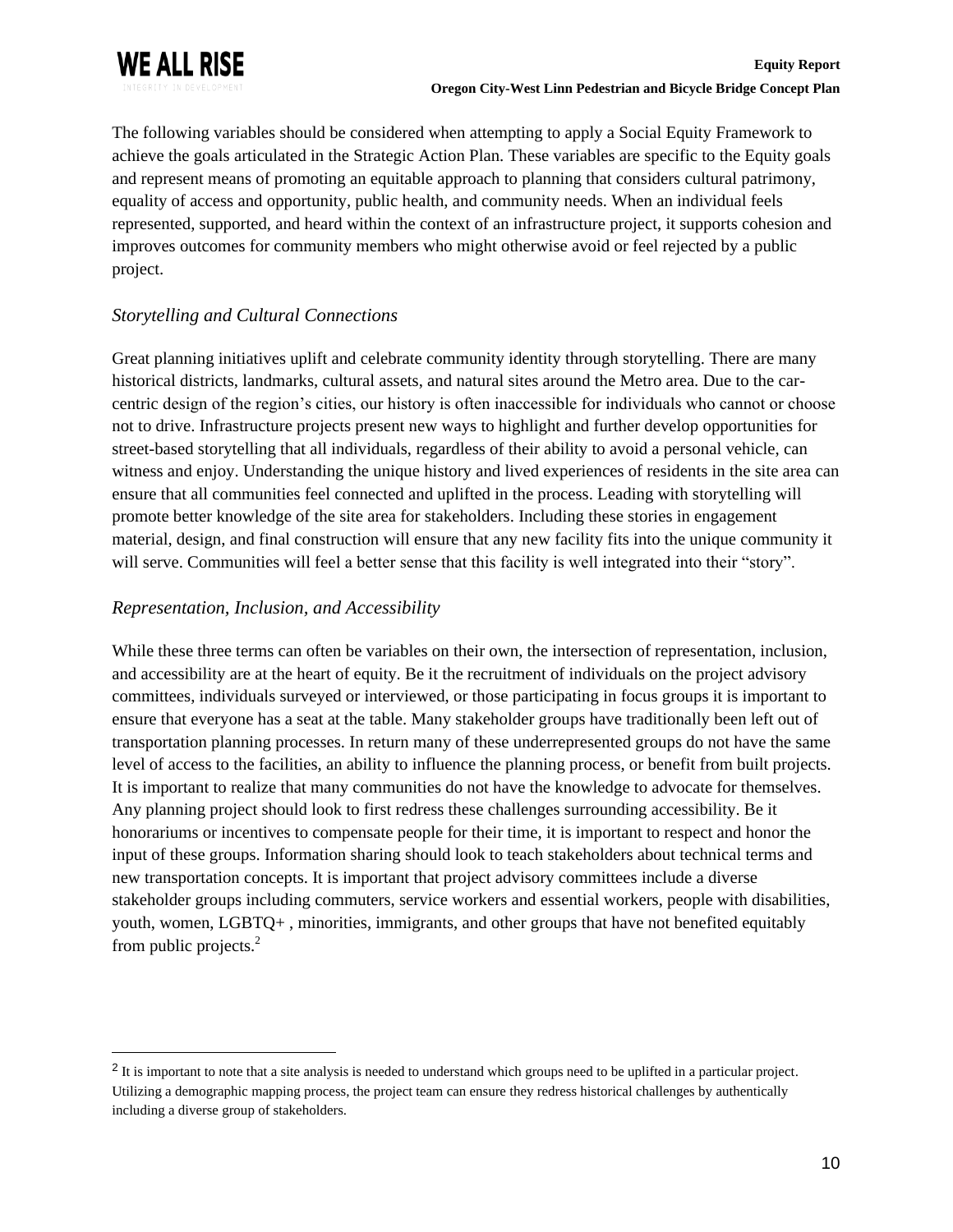

The following variables should be considered when attempting to apply a Social Equity Framework to achieve the goals articulated in the Strategic Action Plan. These variables are specific to the Equity goals and represent means of promoting an equitable approach to planning that considers cultural patrimony, equality of access and opportunity, public health, and community needs. When an individual feels represented, supported, and heard within the context of an infrastructure project, it supports cohesion and improves outcomes for community members who might otherwise avoid or feel rejected by a public project.

### <span id="page-9-0"></span>*Storytelling and Cultural Connections*

Great planning initiatives uplift and celebrate community identity through storytelling. There are many historical districts, landmarks, cultural assets, and natural sites around the Metro area. Due to the carcentric design of the region's cities, our history is often inaccessible for individuals who cannot or choose not to drive. Infrastructure projects present new ways to highlight and further develop opportunities for street-based storytelling that all individuals, regardless of their ability to avoid a personal vehicle, can witness and enjoy. Understanding the unique history and lived experiences of residents in the site area can ensure that all communities feel connected and uplifted in the process. Leading with storytelling will promote better knowledge of the site area for stakeholders. Including these stories in engagement material, design, and final construction will ensure that any new facility fits into the unique community it will serve. Communities will feel a better sense that this facility is well integrated into their "story".

## <span id="page-9-1"></span>*Representation, Inclusion, and Accessibility*

While these three terms can often be variables on their own, the intersection of representation, inclusion, and accessibility are at the heart of equity. Be it the recruitment of individuals on the project advisory committees, individuals surveyed or interviewed, or those participating in focus groups it is important to ensure that everyone has a seat at the table. Many stakeholder groups have traditionally been left out of transportation planning processes. In return many of these underrepresented groups do not have the same level of access to the facilities, an ability to influence the planning process, or benefit from built projects. It is important to realize that many communities do not have the knowledge to advocate for themselves. Any planning project should look to first redress these challenges surrounding accessibility. Be it honorariums or incentives to compensate people for their time, it is important to respect and honor the input of these groups. Information sharing should look to teach stakeholders about technical terms and new transportation concepts. It is important that project advisory committees include a diverse stakeholder groups including commuters, service workers and essential workers, people with disabilities, youth, women, LGBTQ+ , minorities, immigrants, and other groups that have not benefited equitably from public projects.<sup>2</sup>

<sup>&</sup>lt;sup>2</sup> It is important to note that a site analysis is needed to understand which groups need to be uplifted in a particular project. Utilizing a demographic mapping process, the project team can ensure they redress historical challenges by authentically including a diverse group of stakeholders.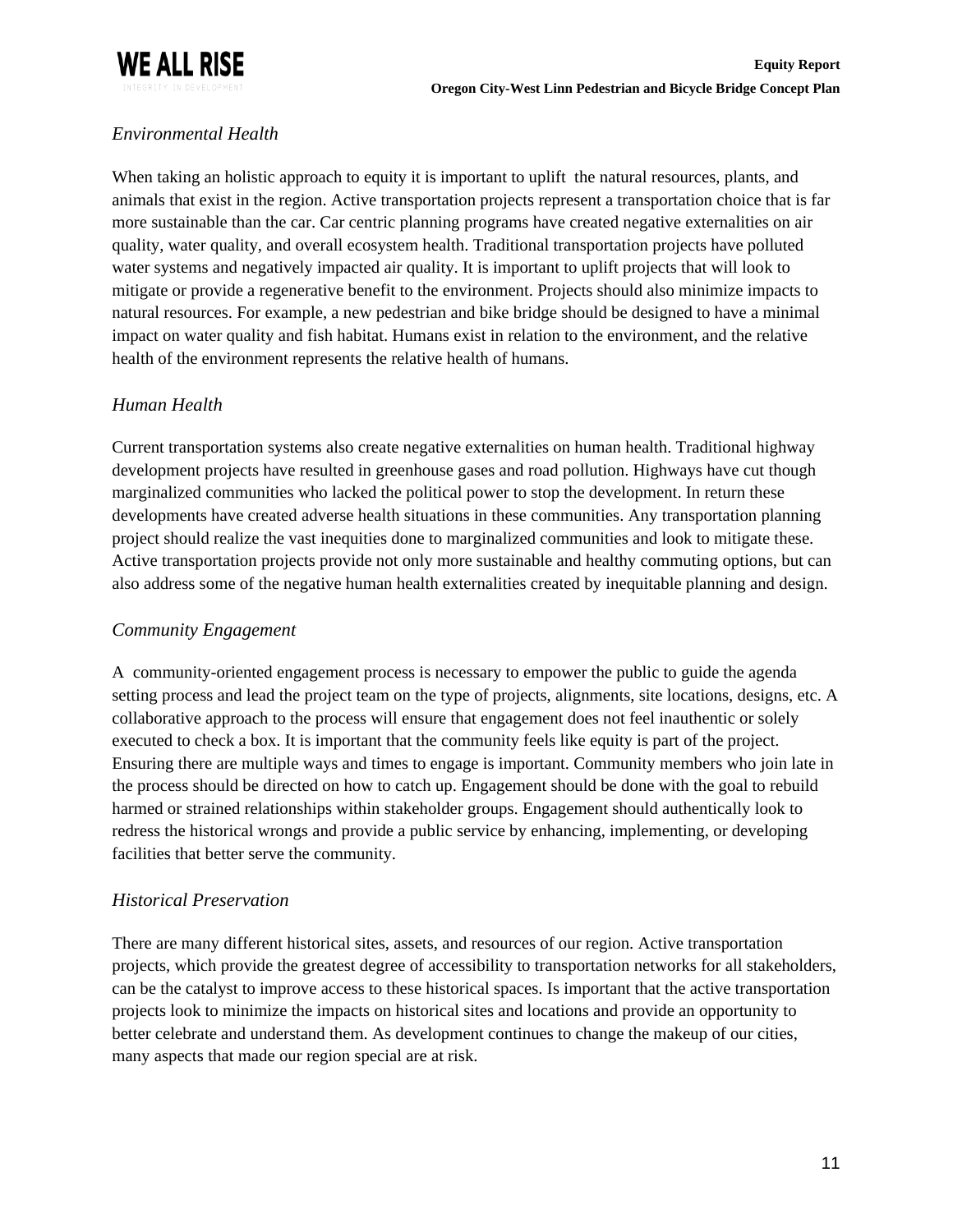

## <span id="page-10-0"></span>*Environmental Health*

When taking an holistic approach to equity it is important to uplift the natural resources, plants, and animals that exist in the region. Active transportation projects represent a transportation choice that is far more sustainable than the car. Car centric planning programs have created negative externalities on air quality, water quality, and overall ecosystem health. Traditional transportation projects have polluted water systems and negatively impacted air quality. It is important to uplift projects that will look to mitigate or provide a regenerative benefit to the environment. Projects should also minimize impacts to natural resources. For example, a new pedestrian and bike bridge should be designed to have a minimal impact on water quality and fish habitat. Humans exist in relation to the environment, and the relative health of the environment represents the relative health of humans.

### <span id="page-10-1"></span>*Human Health*

Current transportation systems also create negative externalities on human health. Traditional highway development projects have resulted in greenhouse gases and road pollution. Highways have cut though marginalized communities who lacked the political power to stop the development. In return these developments have created adverse health situations in these communities. Any transportation planning project should realize the vast inequities done to marginalized communities and look to mitigate these. Active transportation projects provide not only more sustainable and healthy commuting options, but can also address some of the negative human health externalities created by inequitable planning and design.

#### <span id="page-10-2"></span>*Community Engagement*

A community-oriented engagement process is necessary to empower the public to guide the agenda setting process and lead the project team on the type of projects, alignments, site locations, designs, etc. A collaborative approach to the process will ensure that engagement does not feel inauthentic or solely executed to check a box. It is important that the community feels like equity is part of the project. Ensuring there are multiple ways and times to engage is important. Community members who join late in the process should be directed on how to catch up. Engagement should be done with the goal to rebuild harmed or strained relationships within stakeholder groups. Engagement should authentically look to redress the historical wrongs and provide a public service by enhancing, implementing, or developing facilities that better serve the community.

#### <span id="page-10-3"></span>*Historical Preservation*

There are many different historical sites, assets, and resources of our region. Active transportation projects, which provide the greatest degree of accessibility to transportation networks for all stakeholders, can be the catalyst to improve access to these historical spaces. Is important that the active transportation projects look to minimize the impacts on historical sites and locations and provide an opportunity to better celebrate and understand them. As development continues to change the makeup of our cities, many aspects that made our region special are at risk.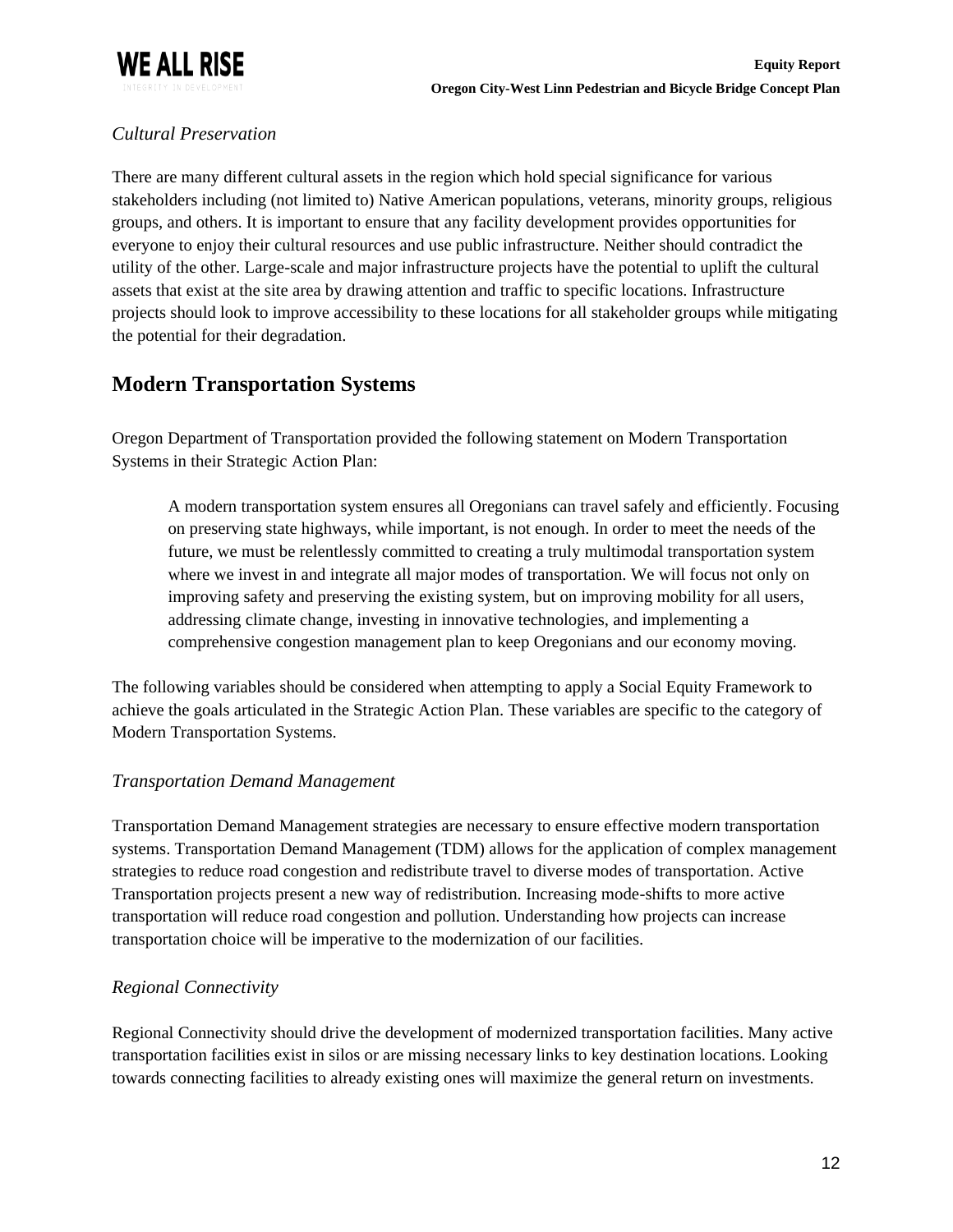

## <span id="page-11-0"></span>*Cultural Preservation*

There are many different cultural assets in the region which hold special significance for various stakeholders including (not limited to) Native American populations, veterans, minority groups, religious groups, and others. It is important to ensure that any facility development provides opportunities for everyone to enjoy their cultural resources and use public infrastructure. Neither should contradict the utility of the other. Large-scale and major infrastructure projects have the potential to uplift the cultural assets that exist at the site area by drawing attention and traffic to specific locations. Infrastructure projects should look to improve accessibility to these locations for all stakeholder groups while mitigating the potential for their degradation.

# <span id="page-11-1"></span>**Modern Transportation Systems**

Oregon Department of Transportation provided the following statement on Modern Transportation Systems in their Strategic Action Plan:

A modern transportation system ensures all Oregonians can travel safely and efficiently. Focusing on preserving state highways, while important, is not enough. In order to meet the needs of the future, we must be relentlessly committed to creating a truly multimodal transportation system where we invest in and integrate all major modes of transportation. We will focus not only on improving safety and preserving the existing system, but on improving mobility for all users, addressing climate change, investing in innovative technologies, and implementing a comprehensive congestion management plan to keep Oregonians and our economy moving.

The following variables should be considered when attempting to apply a Social Equity Framework to achieve the goals articulated in the Strategic Action Plan. These variables are specific to the category of Modern Transportation Systems.

#### <span id="page-11-2"></span>*Transportation Demand Management*

Transportation Demand Management strategies are necessary to ensure effective modern transportation systems. Transportation Demand Management (TDM) allows for the application of complex management strategies to reduce road congestion and redistribute travel to diverse modes of transportation. Active Transportation projects present a new way of redistribution. Increasing mode-shifts to more active transportation will reduce road congestion and pollution. Understanding how projects can increase transportation choice will be imperative to the modernization of our facilities.

## <span id="page-11-3"></span>*Regional Connectivity*

Regional Connectivity should drive the development of modernized transportation facilities. Many active transportation facilities exist in silos or are missing necessary links to key destination locations. Looking towards connecting facilities to already existing ones will maximize the general return on investments.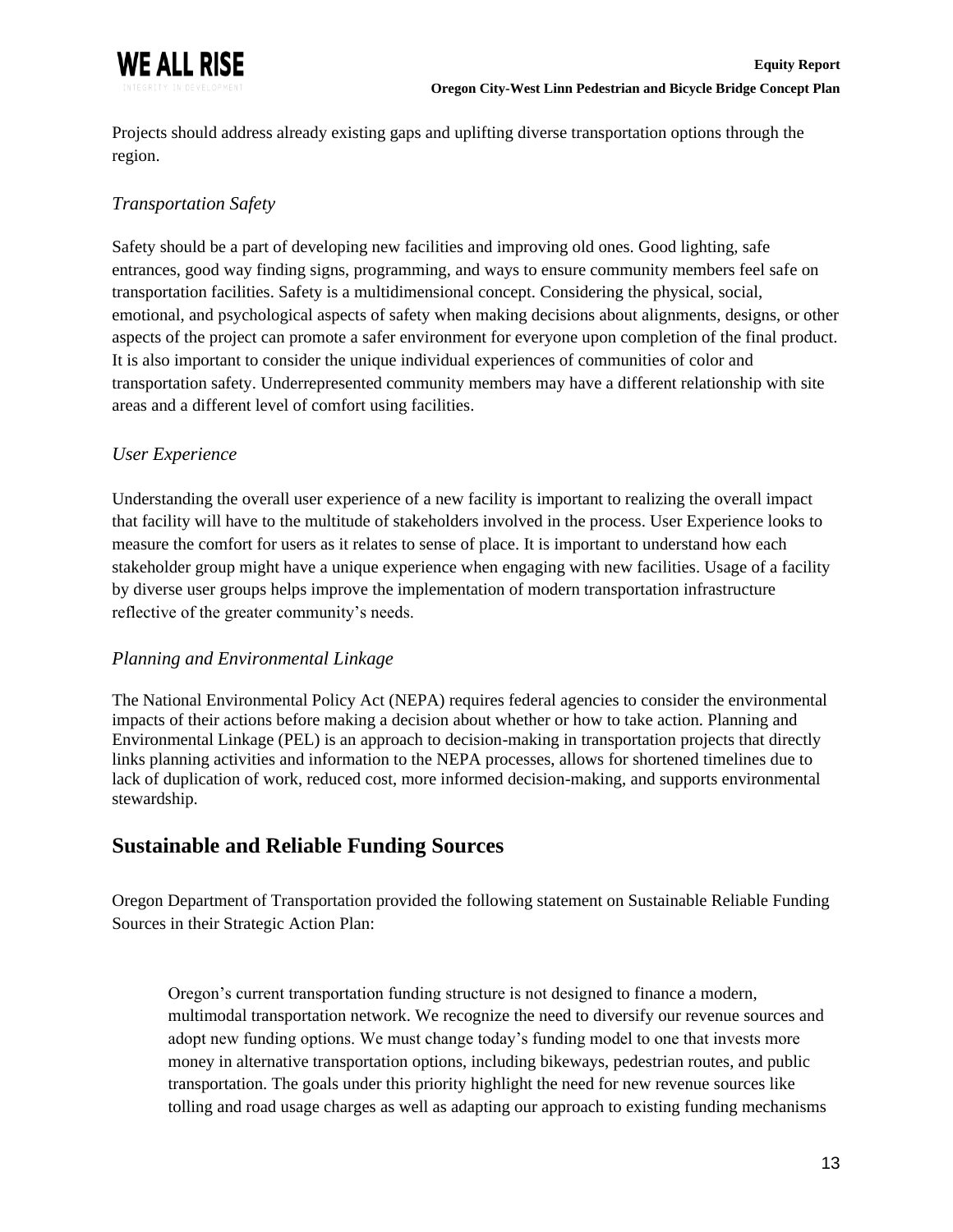

Projects should address already existing gaps and uplifting diverse transportation options through the region.

## <span id="page-12-0"></span>*Transportation Safety*

Safety should be a part of developing new facilities and improving old ones. Good lighting, safe entrances, good way finding signs, programming, and ways to ensure community members feel safe on transportation facilities. Safety is a multidimensional concept. Considering the physical, social, emotional, and psychological aspects of safety when making decisions about alignments, designs, or other aspects of the project can promote a safer environment for everyone upon completion of the final product. It is also important to consider the unique individual experiences of communities of color and transportation safety. Underrepresented community members may have a different relationship with site areas and a different level of comfort using facilities.

### <span id="page-12-1"></span>*User Experience*

Understanding the overall user experience of a new facility is important to realizing the overall impact that facility will have to the multitude of stakeholders involved in the process. User Experience looks to measure the comfort for users as it relates to sense of place. It is important to understand how each stakeholder group might have a unique experience when engaging with new facilities. Usage of a facility by diverse user groups helps improve the implementation of modern transportation infrastructure reflective of the greater community's needs.

#### <span id="page-12-2"></span>*Planning and Environmental Linkage*

The National Environmental Policy Act (NEPA) requires federal agencies to consider the environmental impacts of their actions before making a decision about whether or how to take action. Planning and Environmental Linkage (PEL) is an approach to decision-making in transportation projects that directly links planning activities and information to the NEPA processes, allows for shortened timelines due to lack of duplication of work, reduced cost, more informed decision-making, and supports environmental stewardship.

## <span id="page-12-3"></span>**Sustainable and Reliable Funding Sources**

Oregon Department of Transportation provided the following statement on Sustainable Reliable Funding Sources in their Strategic Action Plan:

Oregon's current transportation funding structure is not designed to finance a modern, multimodal transportation network. We recognize the need to diversify our revenue sources and adopt new funding options. We must change today's funding model to one that invests more money in alternative transportation options, including bikeways, pedestrian routes, and public transportation. The goals under this priority highlight the need for new revenue sources like tolling and road usage charges as well as adapting our approach to existing funding mechanisms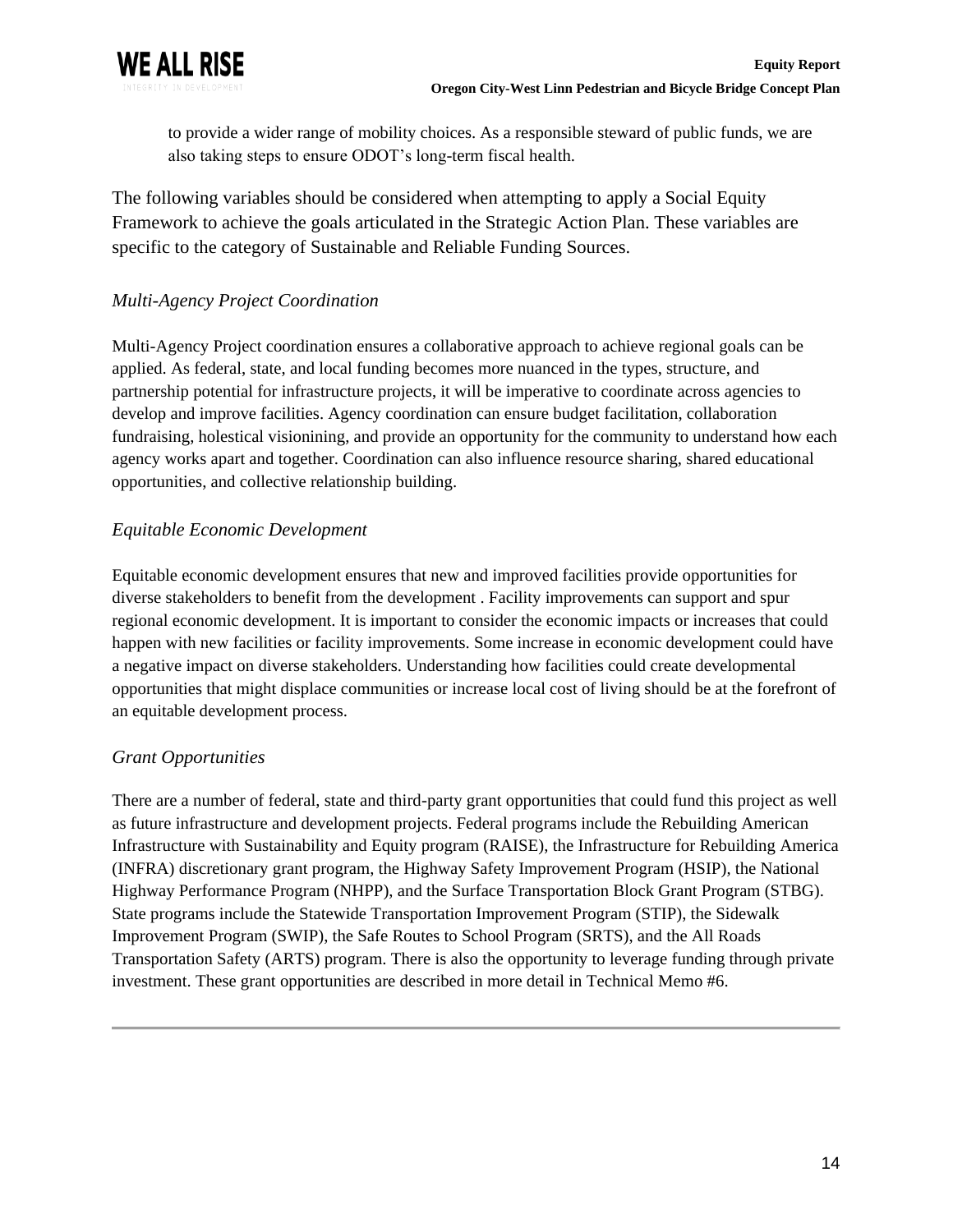

to provide a wider range of mobility choices. As a responsible steward of public funds, we are also taking steps to ensure ODOT's long-term fiscal health.

The following variables should be considered when attempting to apply a Social Equity Framework to achieve the goals articulated in the Strategic Action Plan. These variables are specific to the category of Sustainable and Reliable Funding Sources.

## <span id="page-13-0"></span>*Multi-Agency Project Coordination*

Multi-Agency Project coordination ensures a collaborative approach to achieve regional goals can be applied. As federal, state, and local funding becomes more nuanced in the types, structure, and partnership potential for infrastructure projects, it will be imperative to coordinate across agencies to develop and improve facilities. Agency coordination can ensure budget facilitation, collaboration fundraising, holestical visionining, and provide an opportunity for the community to understand how each agency works apart and together. Coordination can also influence resource sharing, shared educational opportunities, and collective relationship building.

## <span id="page-13-1"></span>*Equitable Economic Development*

Equitable economic development ensures that new and improved facilities provide opportunities for diverse stakeholders to benefit from the development . Facility improvements can support and spur regional economic development. It is important to consider the economic impacts or increases that could happen with new facilities or facility improvements. Some increase in economic development could have a negative impact on diverse stakeholders. Understanding how facilities could create developmental opportunities that might displace communities or increase local cost of living should be at the forefront of an equitable development process.

## <span id="page-13-2"></span>*Grant Opportunities*

There are a number of federal, state and third-party grant opportunities that could fund this project as well as future infrastructure and development projects. Federal programs include the Rebuilding American Infrastructure with Sustainability and Equity program (RAISE), the Infrastructure for Rebuilding America (INFRA) discretionary grant program, the Highway Safety Improvement Program (HSIP), the National Highway Performance Program (NHPP), and the Surface Transportation Block Grant Program (STBG). State programs include the Statewide Transportation Improvement Program (STIP), the Sidewalk Improvement Program (SWIP), the Safe Routes to School Program (SRTS), and the All Roads Transportation Safety (ARTS) program. There is also the opportunity to leverage funding through private investment. These grant opportunities are described in more detail in Technical Memo #6.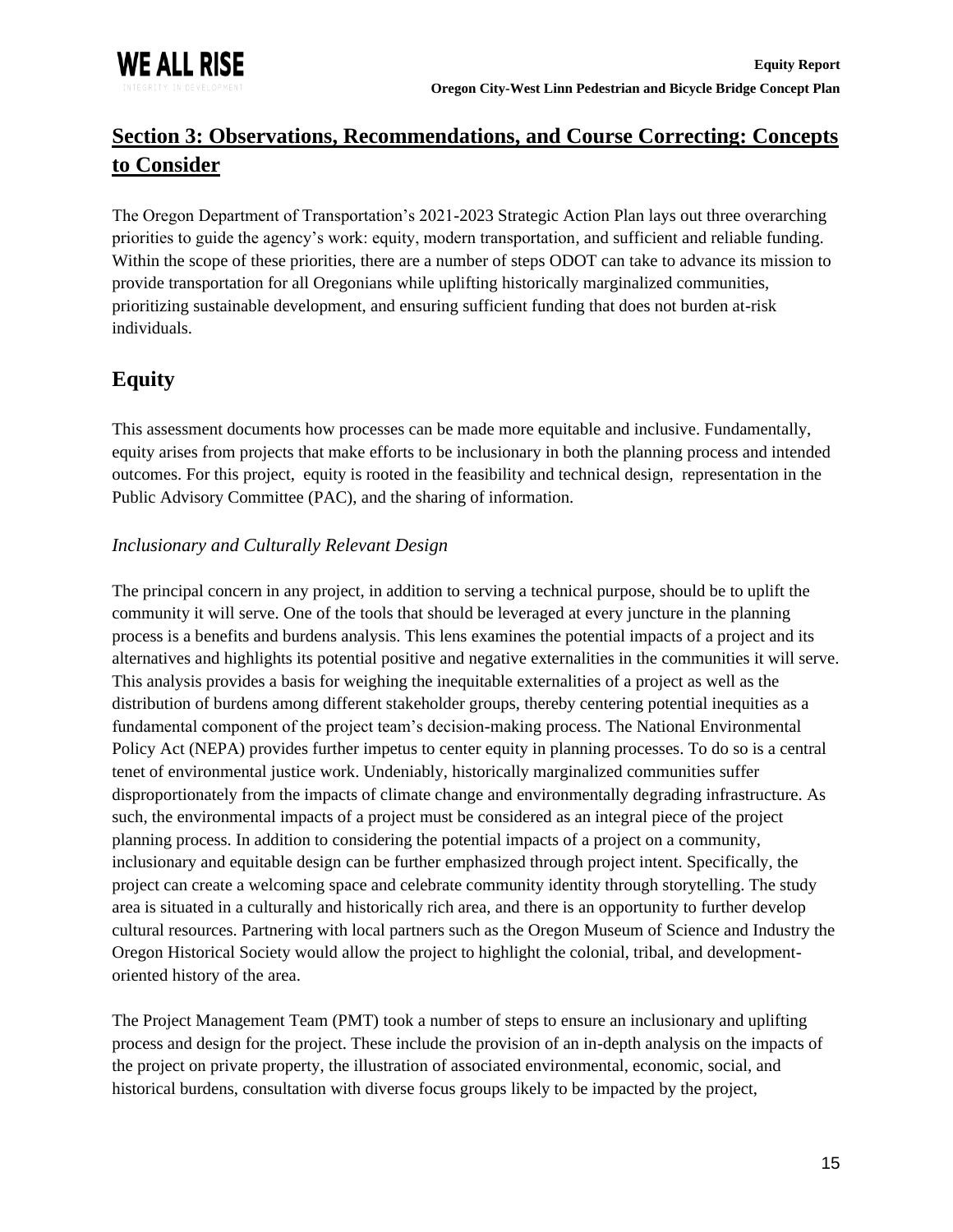# <span id="page-14-0"></span>**Section 3: Observations, Recommendations, and Course Correcting: Concepts to Consider**

The Oregon Department of Transportation's 2021-2023 Strategic Action Plan lays out three overarching priorities to guide the agency's work: equity, modern transportation, and sufficient and reliable funding. Within the scope of these priorities, there are a number of steps ODOT can take to advance its mission to provide transportation for all Oregonians while uplifting historically marginalized communities, prioritizing sustainable development, and ensuring sufficient funding that does not burden at-risk individuals.

# <span id="page-14-1"></span>**Equity**

This assessment documents how processes can be made more equitable and inclusive. Fundamentally, equity arises from projects that make efforts to be inclusionary in both the planning process and intended outcomes. For this project, equity is rooted in the feasibility and technical design, representation in the Public Advisory Committee (PAC), and the sharing of information.

## <span id="page-14-2"></span>*Inclusionary and Culturally Relevant Design*

The principal concern in any project, in addition to serving a technical purpose, should be to uplift the community it will serve. One of the tools that should be leveraged at every juncture in the planning process is a benefits and burdens analysis. This lens examines the potential impacts of a project and its alternatives and highlights its potential positive and negative externalities in the communities it will serve. This analysis provides a basis for weighing the inequitable externalities of a project as well as the distribution of burdens among different stakeholder groups, thereby centering potential inequities as a fundamental component of the project team's decision-making process. The National Environmental Policy Act (NEPA) provides further impetus to center equity in planning processes. To do so is a central tenet of environmental justice work. Undeniably, historically marginalized communities suffer disproportionately from the impacts of climate change and environmentally degrading infrastructure. As such, the environmental impacts of a project must be considered as an integral piece of the project planning process. In addition to considering the potential impacts of a project on a community, inclusionary and equitable design can be further emphasized through project intent. Specifically, the project can create a welcoming space and celebrate community identity through storytelling. The study area is situated in a culturally and historically rich area, and there is an opportunity to further develop cultural resources. Partnering with local partners such as the Oregon Museum of Science and Industry the Oregon Historical Society would allow the project to highlight the colonial, tribal, and developmentoriented history of the area.

The Project Management Team (PMT) took a number of steps to ensure an inclusionary and uplifting process and design for the project. These include the provision of an in-depth analysis on the impacts of the project on private property, the illustration of associated environmental, economic, social, and historical burdens, consultation with diverse focus groups likely to be impacted by the project,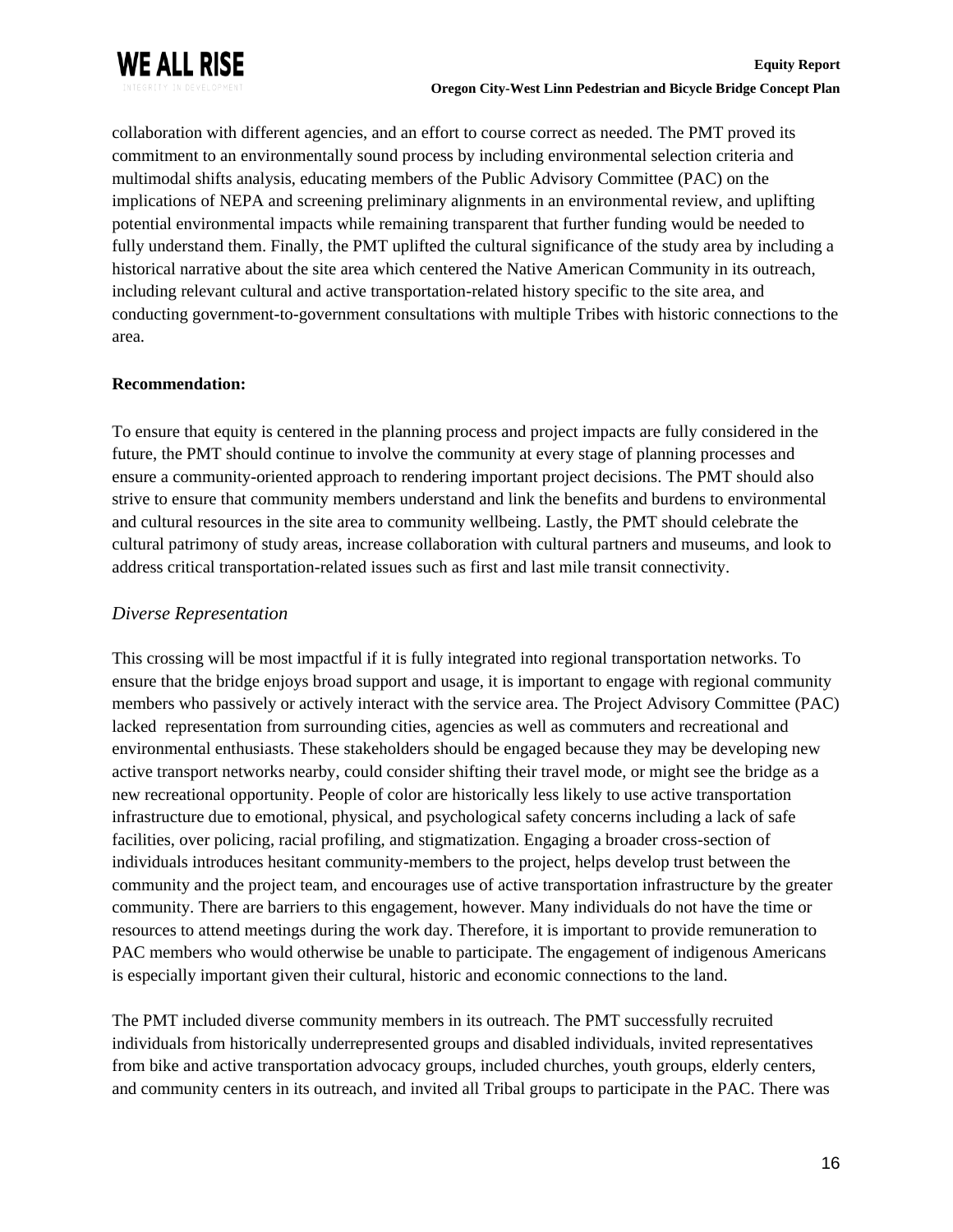

collaboration with different agencies, and an effort to course correct as needed. The PMT proved its commitment to an environmentally sound process by including environmental selection criteria and multimodal shifts analysis, educating members of the Public Advisory Committee (PAC) on the implications of NEPA and screening preliminary alignments in an environmental review, and uplifting potential environmental impacts while remaining transparent that further funding would be needed to fully understand them. Finally, the PMT uplifted the cultural significance of the study area by including a historical narrative about the site area which centered the Native American Community in its outreach, including relevant cultural and active transportation-related history specific to the site area, and conducting government-to-government consultations with multiple Tribes with historic connections to the area.

#### <span id="page-15-0"></span>**Recommendation:**

To ensure that equity is centered in the planning process and project impacts are fully considered in the future, the PMT should continue to involve the community at every stage of planning processes and ensure a community-oriented approach to rendering important project decisions. The PMT should also strive to ensure that community members understand and link the benefits and burdens to environmental and cultural resources in the site area to community wellbeing. Lastly, the PMT should celebrate the cultural patrimony of study areas, increase collaboration with cultural partners and museums, and look to address critical transportation-related issues such as first and last mile transit connectivity.

### <span id="page-15-1"></span>*Diverse Representation*

This crossing will be most impactful if it is fully integrated into regional transportation networks. To ensure that the bridge enjoys broad support and usage, it is important to engage with regional community members who passively or actively interact with the service area. The Project Advisory Committee (PAC) lacked representation from surrounding cities, agencies as well as commuters and recreational and environmental enthusiasts. These stakeholders should be engaged because they may be developing new active transport networks nearby, could consider shifting their travel mode, or might see the bridge as a new recreational opportunity. People of color are historically less likely to use active transportation infrastructure due to emotional, physical, and psychological safety concerns including a lack of safe facilities, over policing, racial profiling, and stigmatization. Engaging a broader cross-section of individuals introduces hesitant community-members to the project, helps develop trust between the community and the project team, and encourages use of active transportation infrastructure by the greater community. There are barriers to this engagement, however. Many individuals do not have the time or resources to attend meetings during the work day. Therefore, it is important to provide remuneration to PAC members who would otherwise be unable to participate. The engagement of indigenous Americans is especially important given their cultural, historic and economic connections to the land.

The PMT included diverse community members in its outreach. The PMT successfully recruited individuals from historically underrepresented groups and disabled individuals, invited representatives from bike and active transportation advocacy groups, included churches, youth groups, elderly centers, and community centers in its outreach, and invited all Tribal groups to participate in the PAC. There was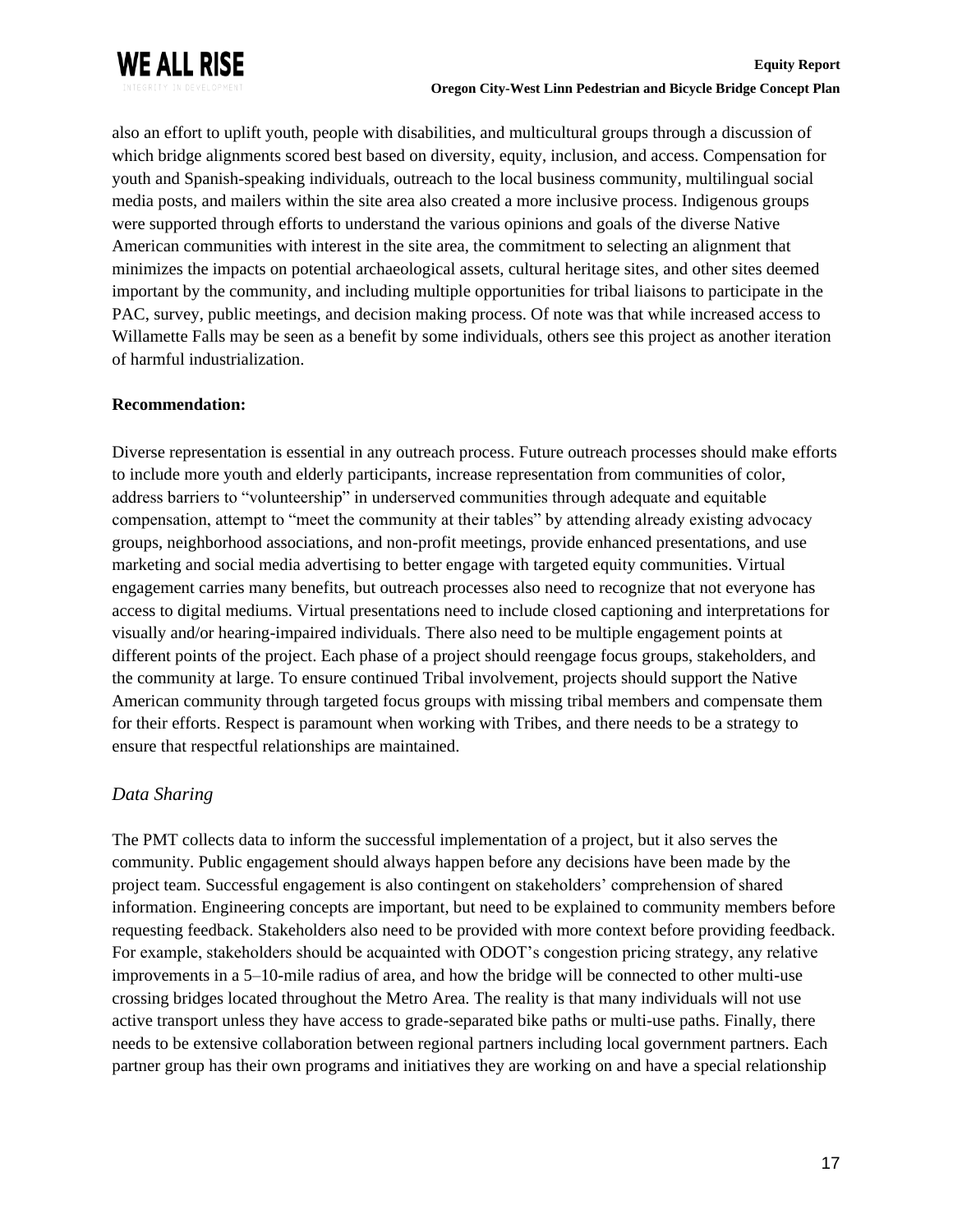

also an effort to uplift youth, people with disabilities, and multicultural groups through a discussion of which bridge alignments scored best based on diversity, equity, inclusion, and access. Compensation for youth and Spanish-speaking individuals, outreach to the local business community, multilingual social media posts, and mailers within the site area also created a more inclusive process. Indigenous groups were supported through efforts to understand the various opinions and goals of the diverse Native American communities with interest in the site area, the commitment to selecting an alignment that minimizes the impacts on potential archaeological assets, cultural heritage sites, and other sites deemed important by the community, and including multiple opportunities for tribal liaisons to participate in the PAC, survey, public meetings, and decision making process. Of note was that while increased access to Willamette Falls may be seen as a benefit by some individuals, others see this project as another iteration of harmful industrialization.

#### <span id="page-16-0"></span>**Recommendation:**

Diverse representation is essential in any outreach process. Future outreach processes should make efforts to include more youth and elderly participants, increase representation from communities of color, address barriers to "volunteership" in underserved communities through adequate and equitable compensation, attempt to "meet the community at their tables" by attending already existing advocacy groups, neighborhood associations, and non-profit meetings, provide enhanced presentations, and use marketing and social media advertising to better engage with targeted equity communities. Virtual engagement carries many benefits, but outreach processes also need to recognize that not everyone has access to digital mediums. Virtual presentations need to include closed captioning and interpretations for visually and/or hearing-impaired individuals. There also need to be multiple engagement points at different points of the project. Each phase of a project should reengage focus groups, stakeholders, and the community at large. To ensure continued Tribal involvement, projects should support the Native American community through targeted focus groups with missing tribal members and compensate them for their efforts. Respect is paramount when working with Tribes, and there needs to be a strategy to ensure that respectful relationships are maintained.

#### <span id="page-16-1"></span>*Data Sharing*

The PMT collects data to inform the successful implementation of a project, but it also serves the community. Public engagement should always happen before any decisions have been made by the project team. Successful engagement is also contingent on stakeholders' comprehension of shared information. Engineering concepts are important, but need to be explained to community members before requesting feedback. Stakeholders also need to be provided with more context before providing feedback. For example, stakeholders should be acquainted with ODOT's congestion pricing strategy, any relative improvements in a 5–10-mile radius of area, and how the bridge will be connected to other multi-use crossing bridges located throughout the Metro Area. The reality is that many individuals will not use active transport unless they have access to grade-separated bike paths or multi-use paths. Finally, there needs to be extensive collaboration between regional partners including local government partners. Each partner group has their own programs and initiatives they are working on and have a special relationship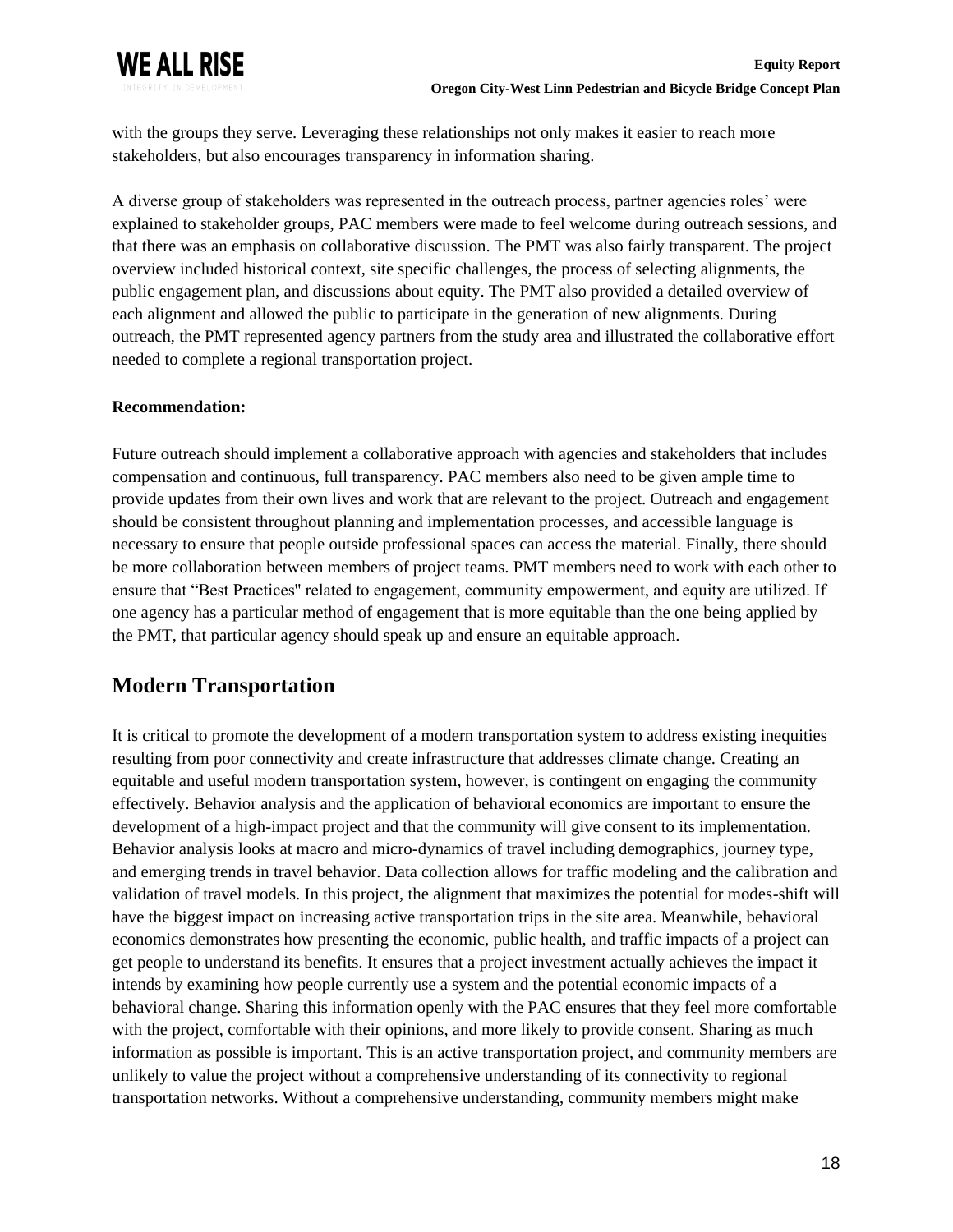

with the groups they serve. Leveraging these relationships not only makes it easier to reach more stakeholders, but also encourages transparency in information sharing.

A diverse group of stakeholders was represented in the outreach process, partner agencies roles' were explained to stakeholder groups, PAC members were made to feel welcome during outreach sessions, and that there was an emphasis on collaborative discussion. The PMT was also fairly transparent. The project overview included historical context, site specific challenges, the process of selecting alignments, the public engagement plan, and discussions about equity. The PMT also provided a detailed overview of each alignment and allowed the public to participate in the generation of new alignments. During outreach, the PMT represented agency partners from the study area and illustrated the collaborative effort needed to complete a regional transportation project.

#### <span id="page-17-0"></span>**Recommendation:**

Future outreach should implement a collaborative approach with agencies and stakeholders that includes compensation and continuous, full transparency. PAC members also need to be given ample time to provide updates from their own lives and work that are relevant to the project. Outreach and engagement should be consistent throughout planning and implementation processes, and accessible language is necessary to ensure that people outside professional spaces can access the material. Finally, there should be more collaboration between members of project teams. PMT members need to work with each other to ensure that "Best Practices'' related to engagement, community empowerment, and equity are utilized. If one agency has a particular method of engagement that is more equitable than the one being applied by the PMT, that particular agency should speak up and ensure an equitable approach.

## <span id="page-17-1"></span>**Modern Transportation**

It is critical to promote the development of a modern transportation system to address existing inequities resulting from poor connectivity and create infrastructure that addresses climate change. Creating an equitable and useful modern transportation system, however, is contingent on engaging the community effectively. Behavior analysis and the application of behavioral economics are important to ensure the development of a high-impact project and that the community will give consent to its implementation. Behavior analysis looks at macro and micro-dynamics of travel including demographics, journey type, and emerging trends in travel behavior. Data collection allows for traffic modeling and the calibration and validation of travel models. In this project, the alignment that maximizes the potential for modes-shift will have the biggest impact on increasing active transportation trips in the site area. Meanwhile, behavioral economics demonstrates how presenting the economic, public health, and traffic impacts of a project can get people to understand its benefits. It ensures that a project investment actually achieves the impact it intends by examining how people currently use a system and the potential economic impacts of a behavioral change. Sharing this information openly with the PAC ensures that they feel more comfortable with the project, comfortable with their opinions, and more likely to provide consent. Sharing as much information as possible is important. This is an active transportation project, and community members are unlikely to value the project without a comprehensive understanding of its connectivity to regional transportation networks. Without a comprehensive understanding, community members might make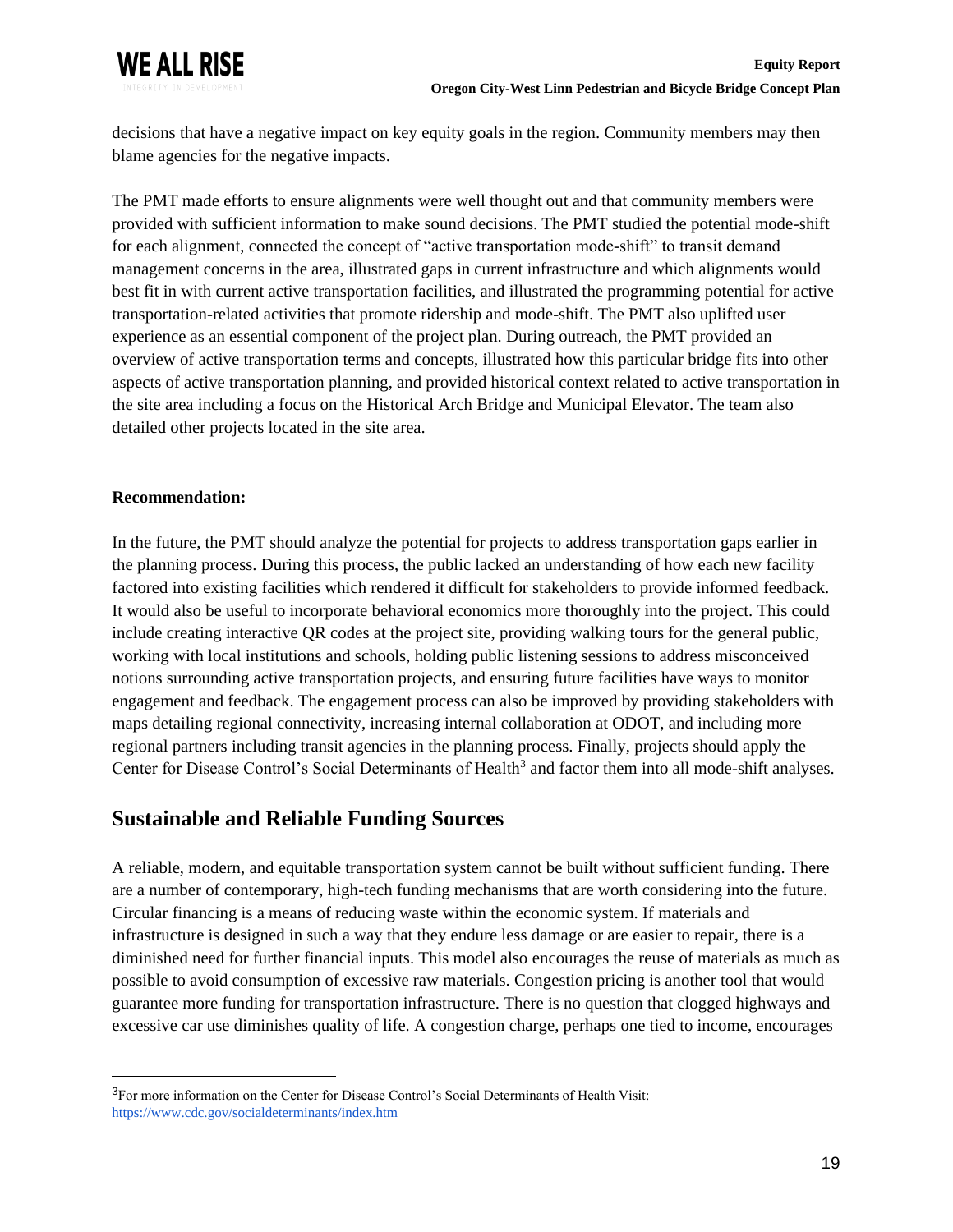

decisions that have a negative impact on key equity goals in the region. Community members may then blame agencies for the negative impacts.

The PMT made efforts to ensure alignments were well thought out and that community members were provided with sufficient information to make sound decisions. The PMT studied the potential mode-shift for each alignment, connected the concept of "active transportation mode-shift" to transit demand management concerns in the area, illustrated gaps in current infrastructure and which alignments would best fit in with current active transportation facilities, and illustrated the programming potential for active transportation-related activities that promote ridership and mode-shift. The PMT also uplifted user experience as an essential component of the project plan. During outreach, the PMT provided an overview of active transportation terms and concepts, illustrated how this particular bridge fits into other aspects of active transportation planning, and provided historical context related to active transportation in the site area including a focus on the Historical Arch Bridge and Municipal Elevator. The team also detailed other projects located in the site area.

#### <span id="page-18-0"></span>**Recommendation:**

In the future, the PMT should analyze the potential for projects to address transportation gaps earlier in the planning process. During this process, the public lacked an understanding of how each new facility factored into existing facilities which rendered it difficult for stakeholders to provide informed feedback. It would also be useful to incorporate behavioral economics more thoroughly into the project. This could include creating interactive QR codes at the project site, providing walking tours for the general public, working with local institutions and schools, holding public listening sessions to address misconceived notions surrounding active transportation projects, and ensuring future facilities have ways to monitor engagement and feedback. The engagement process can also be improved by providing stakeholders with maps detailing regional connectivity, increasing internal collaboration at ODOT, and including more regional partners including transit agencies in the planning process. Finally, projects should apply the Center for Disease Control's Social Determinants of Health<sup>3</sup> and factor them into all mode-shift analyses.

## <span id="page-18-1"></span>**Sustainable and Reliable Funding Sources**

A reliable, modern, and equitable transportation system cannot be built without sufficient funding. There are a number of contemporary, high-tech funding mechanisms that are worth considering into the future. Circular financing is a means of reducing waste within the economic system. If materials and infrastructure is designed in such a way that they endure less damage or are easier to repair, there is a diminished need for further financial inputs. This model also encourages the reuse of materials as much as possible to avoid consumption of excessive raw materials. Congestion pricing is another tool that would guarantee more funding for transportation infrastructure. There is no question that clogged highways and excessive car use diminishes quality of life. A congestion charge, perhaps one tied to income, encourages

<sup>3</sup>For more information on the Center for Disease Control's Social Determinants of Health Visit: <https://www.cdc.gov/socialdeterminants/index.htm>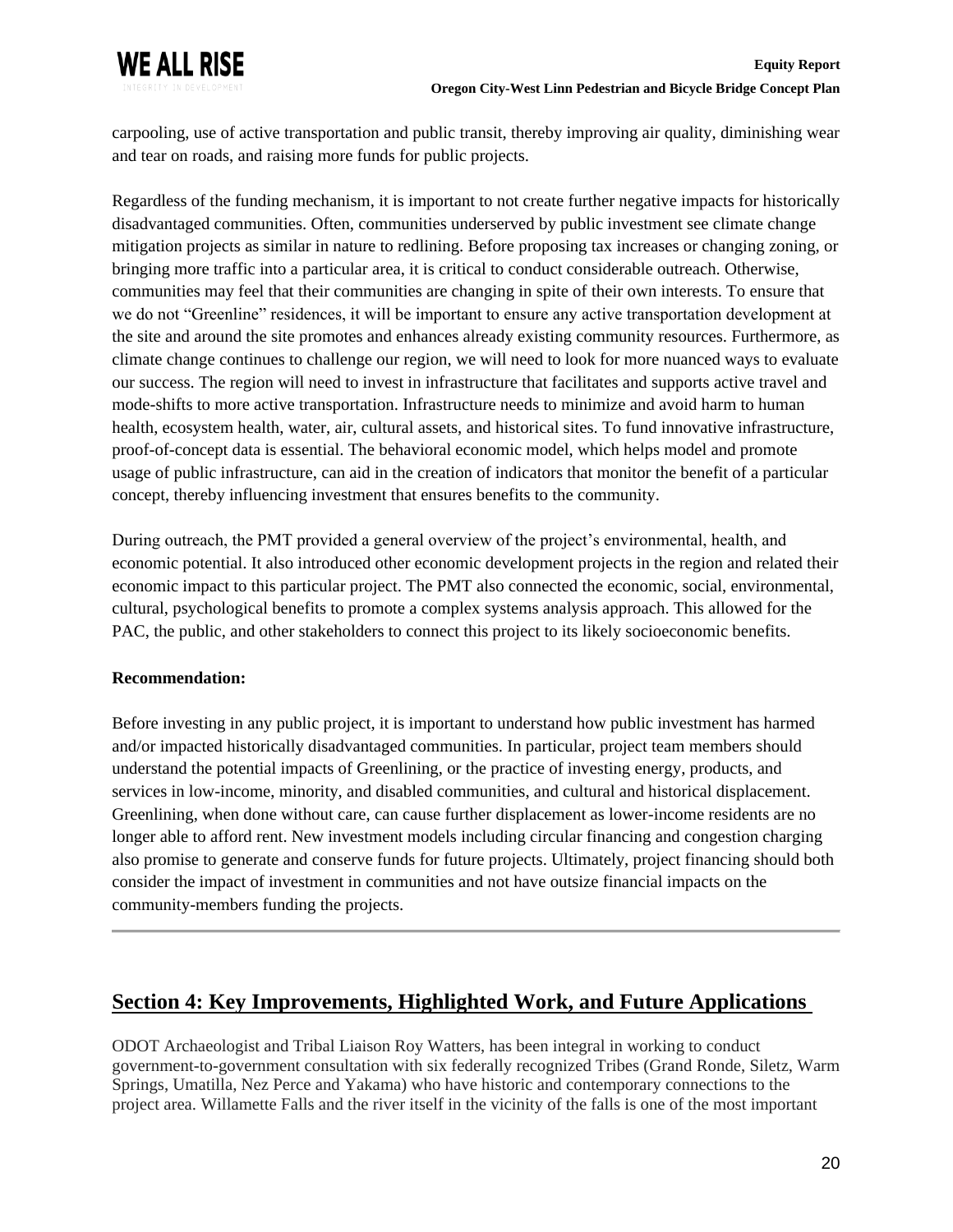

carpooling, use of active transportation and public transit, thereby improving air quality, diminishing wear and tear on roads, and raising more funds for public projects.

Regardless of the funding mechanism, it is important to not create further negative impacts for historically disadvantaged communities. Often, communities underserved by public investment see climate change mitigation projects as similar in nature to redlining. Before proposing tax increases or changing zoning, or bringing more traffic into a particular area, it is critical to conduct considerable outreach. Otherwise, communities may feel that their communities are changing in spite of their own interests. To ensure that we do not "Greenline" residences, it will be important to ensure any active transportation development at the site and around the site promotes and enhances already existing community resources. Furthermore, as climate change continues to challenge our region, we will need to look for more nuanced ways to evaluate our success. The region will need to invest in infrastructure that facilitates and supports active travel and mode-shifts to more active transportation. Infrastructure needs to minimize and avoid harm to human health, ecosystem health, water, air, cultural assets, and historical sites. To fund innovative infrastructure, proof-of-concept data is essential. The behavioral economic model, which helps model and promote usage of public infrastructure, can aid in the creation of indicators that monitor the benefit of a particular concept, thereby influencing investment that ensures benefits to the community.

During outreach, the PMT provided a general overview of the project's environmental, health, and economic potential. It also introduced other economic development projects in the region and related their economic impact to this particular project. The PMT also connected the economic, social, environmental, cultural, psychological benefits to promote a complex systems analysis approach. This allowed for the PAC, the public, and other stakeholders to connect this project to its likely socioeconomic benefits.

#### <span id="page-19-0"></span>**Recommendation:**

Before investing in any public project, it is important to understand how public investment has harmed and/or impacted historically disadvantaged communities. In particular, project team members should understand the potential impacts of Greenlining, or the practice of investing energy, products, and services in low-income, minority, and disabled communities, and cultural and historical displacement. Greenlining, when done without care, can cause further displacement as lower-income residents are no longer able to afford rent. New investment models including circular financing and congestion charging also promise to generate and conserve funds for future projects. Ultimately, project financing should both consider the impact of investment in communities and not have outsize financial impacts on the community-members funding the projects.

## <span id="page-19-1"></span>**Section 4: Key Improvements, Highlighted Work, and Future Applications**

ODOT Archaeologist and Tribal Liaison Roy Watters, has been integral in working to conduct government-to-government consultation with six federally recognized Tribes (Grand Ronde, Siletz, Warm Springs, Umatilla, Nez Perce and Yakama) who have historic and contemporary connections to the project area. Willamette Falls and the river itself in the vicinity of the falls is one of the most important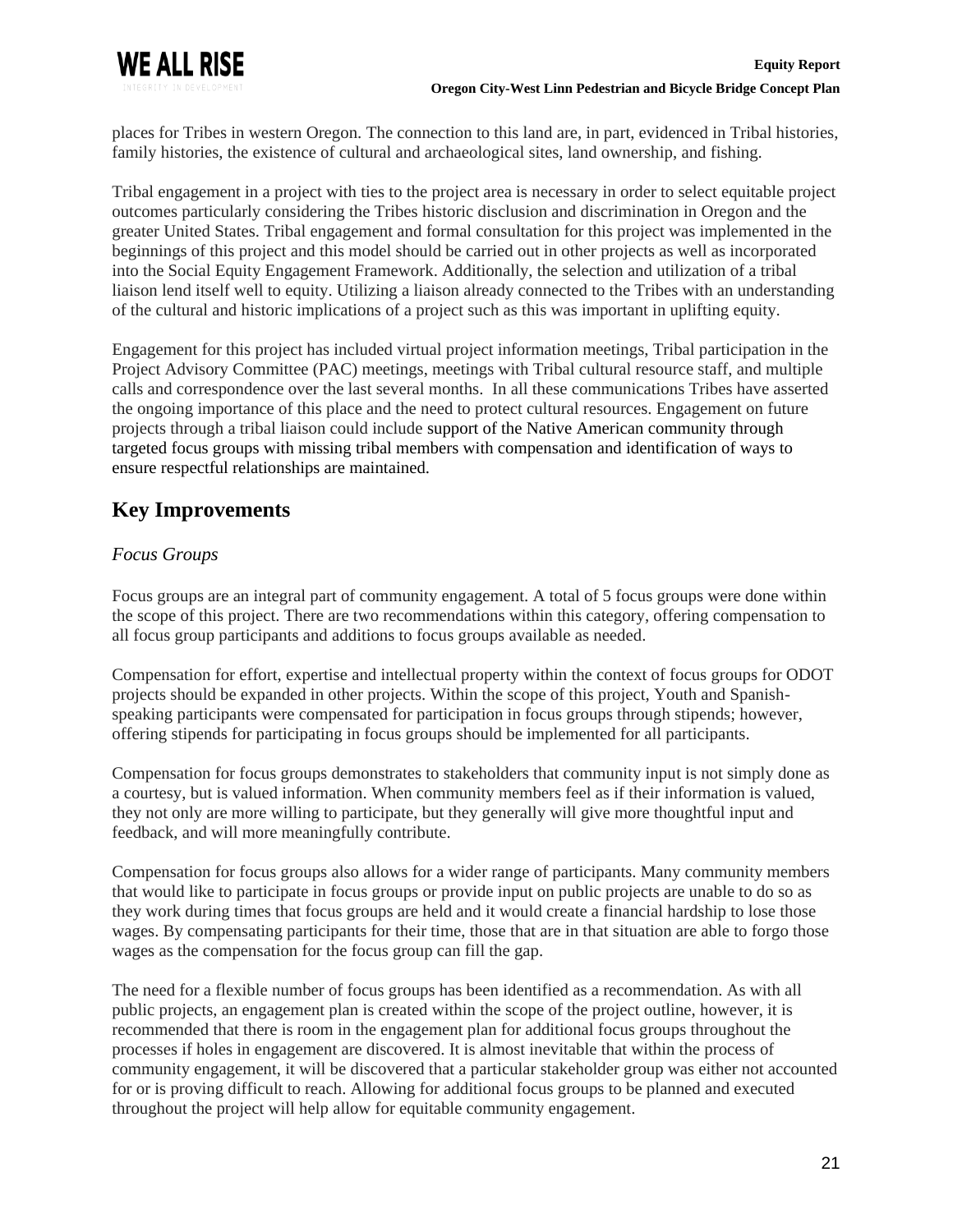places for Tribes in western Oregon. The connection to this land are, in part, evidenced in Tribal histories, family histories, the existence of cultural and archaeological sites, land ownership, and fishing.

Tribal engagement in a project with ties to the project area is necessary in order to select equitable project outcomes particularly considering the Tribes historic disclusion and discrimination in Oregon and the greater United States. Tribal engagement and formal consultation for this project was implemented in the beginnings of this project and this model should be carried out in other projects as well as incorporated into the Social Equity Engagement Framework. Additionally, the selection and utilization of a tribal liaison lend itself well to equity. Utilizing a liaison already connected to the Tribes with an understanding of the cultural and historic implications of a project such as this was important in uplifting equity.

Engagement for this project has included virtual project information meetings, Tribal participation in the Project Advisory Committee (PAC) meetings, meetings with Tribal cultural resource staff, and multiple calls and correspondence over the last several months. In all these communications Tribes have asserted the ongoing importance of this place and the need to protect cultural resources. Engagement on future projects through a tribal liaison could include support of the Native American community through targeted focus groups with missing tribal members with compensation and identification of ways to ensure respectful relationships are maintained.

# <span id="page-20-0"></span>**Key Improvements**

## <span id="page-20-1"></span>*Focus Groups*

Focus groups are an integral part of community engagement. A total of 5 focus groups were done within the scope of this project. There are two recommendations within this category, offering compensation to all focus group participants and additions to focus groups available as needed.

Compensation for effort, expertise and intellectual property within the context of focus groups for ODOT projects should be expanded in other projects. Within the scope of this project, Youth and Spanishspeaking participants were compensated for participation in focus groups through stipends; however, offering stipends for participating in focus groups should be implemented for all participants.

Compensation for focus groups demonstrates to stakeholders that community input is not simply done as a courtesy, but is valued information. When community members feel as if their information is valued, they not only are more willing to participate, but they generally will give more thoughtful input and feedback, and will more meaningfully contribute.

Compensation for focus groups also allows for a wider range of participants. Many community members that would like to participate in focus groups or provide input on public projects are unable to do so as they work during times that focus groups are held and it would create a financial hardship to lose those wages. By compensating participants for their time, those that are in that situation are able to forgo those wages as the compensation for the focus group can fill the gap.

The need for a flexible number of focus groups has been identified as a recommendation. As with all public projects, an engagement plan is created within the scope of the project outline, however, it is recommended that there is room in the engagement plan for additional focus groups throughout the processes if holes in engagement are discovered. It is almost inevitable that within the process of community engagement, it will be discovered that a particular stakeholder group was either not accounted for or is proving difficult to reach. Allowing for additional focus groups to be planned and executed throughout the project will help allow for equitable community engagement.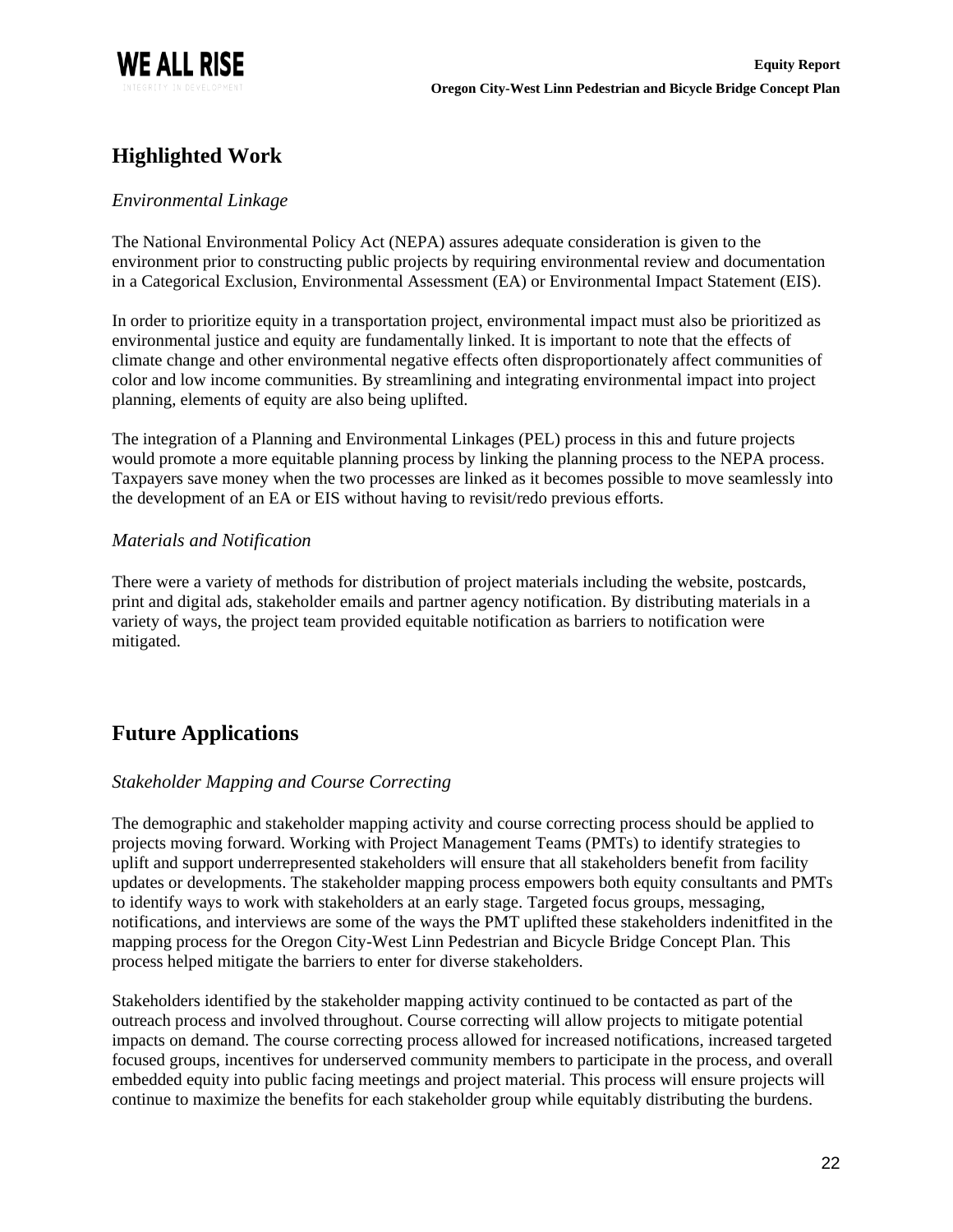

# <span id="page-21-0"></span>**Highlighted Work**

### <span id="page-21-1"></span>*Environmental Linkage*

The National Environmental Policy Act (NEPA) assures adequate consideration is given to the environment prior to constructing public projects by requiring environmental review and documentation in a Categorical Exclusion, Environmental Assessment (EA) or Environmental Impact Statement (EIS).

In order to prioritize equity in a transportation project, environmental impact must also be prioritized as environmental justice and equity are fundamentally linked. It is important to note that the effects of climate change and other environmental negative effects often disproportionately affect communities of color and low income communities. By streamlining and integrating environmental impact into project planning, elements of equity are also being uplifted.

The integration of a Planning and Environmental Linkages (PEL) process in this and future projects would promote a more equitable planning process by linking the planning process to the NEPA process. Taxpayers save money when the two processes are linked as it becomes possible to move seamlessly into the development of an EA or EIS without having to revisit/redo previous efforts.

#### <span id="page-21-2"></span>*Materials and Notification*

There were a variety of methods for distribution of project materials including the website, postcards, print and digital ads, stakeholder emails and partner agency notification. By distributing materials in a variety of ways, the project team provided equitable notification as barriers to notification were mitigated.

# <span id="page-21-3"></span>**Future Applications**

## <span id="page-21-4"></span>*Stakeholder Mapping and Course Correcting*

The demographic and stakeholder mapping activity and course correcting process should be applied to projects moving forward. Working with Project Management Teams (PMTs) to identify strategies to uplift and support underrepresented stakeholders will ensure that all stakeholders benefit from facility updates or developments. The stakeholder mapping process empowers both equity consultants and PMTs to identify ways to work with stakeholders at an early stage. Targeted focus groups, messaging, notifications, and interviews are some of the ways the PMT uplifted these stakeholders indenitfited in the mapping process for the Oregon City-West Linn Pedestrian and Bicycle Bridge Concept Plan. This process helped mitigate the barriers to enter for diverse stakeholders.

Stakeholders identified by the stakeholder mapping activity continued to be contacted as part of the outreach process and involved throughout. Course correcting will allow projects to mitigate potential impacts on demand. The course correcting process allowed for increased notifications, increased targeted focused groups, incentives for underserved community members to participate in the process, and overall embedded equity into public facing meetings and project material. This process will ensure projects will continue to maximize the benefits for each stakeholder group while equitably distributing the burdens.